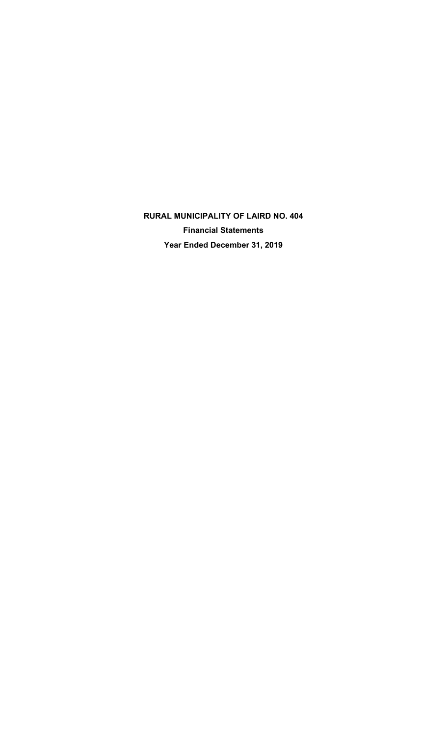**RURAL MUNICIPALITY OF LAIRD NO. 404 Financial Statements Year Ended December 31, 2019**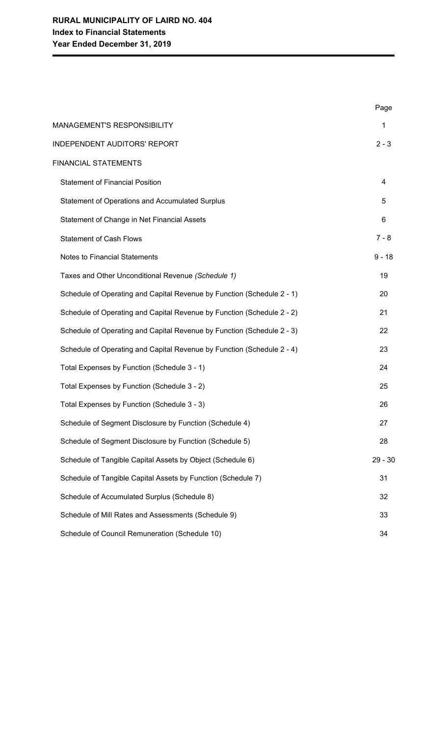|                                                                        | Page      |
|------------------------------------------------------------------------|-----------|
| MANAGEMENT'S RESPONSIBILITY                                            | 1         |
| <b>INDEPENDENT AUDITORS' REPORT</b>                                    | $2 - 3$   |
| <b>FINANCIAL STATEMENTS</b>                                            |           |
| <b>Statement of Financial Position</b>                                 | 4         |
| Statement of Operations and Accumulated Surplus                        | 5         |
| Statement of Change in Net Financial Assets                            | 6         |
| <b>Statement of Cash Flows</b>                                         | $7 - 8$   |
| <b>Notes to Financial Statements</b>                                   | $9 - 18$  |
| Taxes and Other Unconditional Revenue (Schedule 1)                     | 19        |
| Schedule of Operating and Capital Revenue by Function (Schedule 2 - 1) | 20        |
| Schedule of Operating and Capital Revenue by Function (Schedule 2 - 2) | 21        |
| Schedule of Operating and Capital Revenue by Function (Schedule 2 - 3) | 22        |
| Schedule of Operating and Capital Revenue by Function (Schedule 2 - 4) | 23        |
| Total Expenses by Function (Schedule 3 - 1)                            | 24        |
| Total Expenses by Function (Schedule 3 - 2)                            | 25        |
| Total Expenses by Function (Schedule 3 - 3)                            | 26        |
| Schedule of Segment Disclosure by Function (Schedule 4)                | 27        |
| Schedule of Segment Disclosure by Function (Schedule 5)                | 28        |
| Schedule of Tangible Capital Assets by Object (Schedule 6)             | $29 - 30$ |
| Schedule of Tangible Capital Assets by Function (Schedule 7)           | 31        |
| Schedule of Accumulated Surplus (Schedule 8)                           | 32        |
| Schedule of Mill Rates and Assessments (Schedule 9)                    | 33        |
| Schedule of Council Remuneration (Schedule 10)                         | 34        |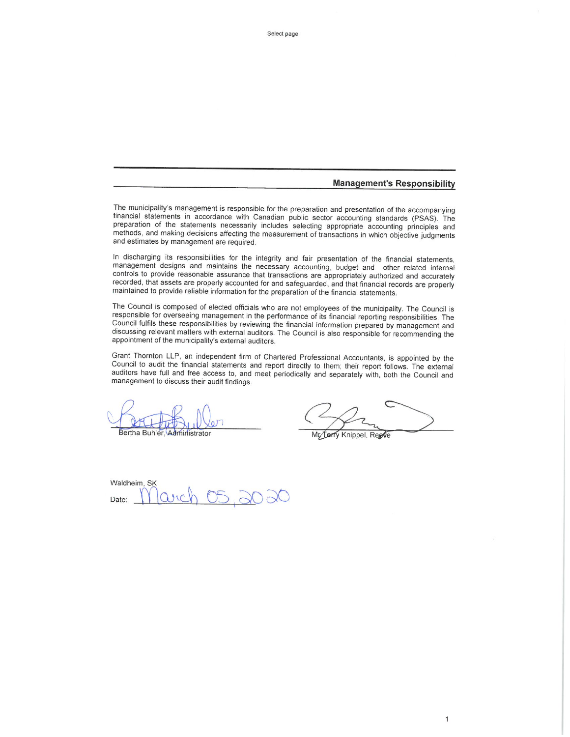#### **Management's Responsibility**

The municipality's management is responsible for the preparation and presentation of the accompanying financial statements in accordance with Canadian public sector accounting standards (PSAS). The preparation of the statements necessarily includes selecting appropriate accounting principles and methods, and making decisions affecting the measurement of transactions in which objective judgments and estimates by management are required.

In discharging its responsibilities for the integrity and fair presentation of the financial statements, management designs and maintains the necessary accounting, budget and other related internal controls to provide reasonable assurance that transactions are appropriately authorized and accurately recorded, that assets are properly accounted for and safeguarded, and that financial records are properly maintained to provide reliable information for the preparation of the financial statements.

The Council is composed of elected officials who are not employees of the municipality. The Council is responsible for overseeing management in the performance of its financial reporting responsibilities. The Council fulfils these responsibilities by reviewing the financial information prepared by management and discussing relevant matters with external auditors. The Council is also responsible for recommending the appointment of the municipality's external auditors.

Grant Thornton LLP, an independent firm of Chartered Professional Accountants, is appointed by the Council to audit the financial statements and report directly to them; their report follows. The external auditors have full and free access to, and meet periodically and separately with, both the Council and management to discuss their audit findings.

Bertha Buhler, Administrator

1

Mr Terry Knippel, Reeve

Waldheim, SK Date: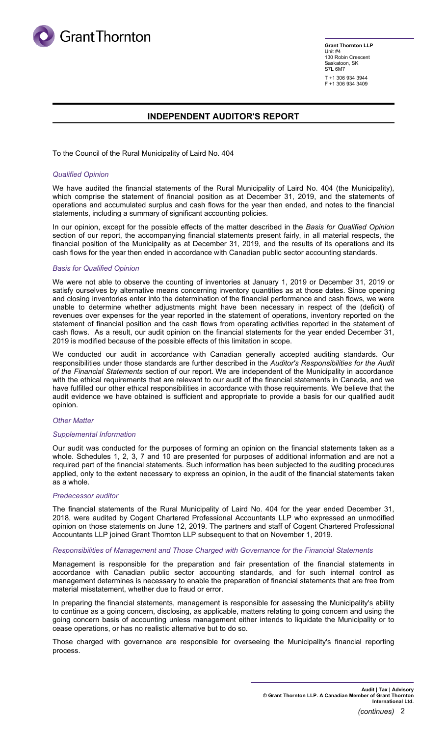

**Grant Thornton LLP** Unit #4 130 Robin Crescent Saskatoon, SK S7L 6M7 T +1 306 934 3944 F +1 306 934 3409

# **INDEPENDENT AUDITOR'S REPORT**

To the Council of the Rural Municipality of Laird No. 404

#### *Qualified Opinion*

We have audited the financial statements of the Rural Municipality of Laird No. 404 (the Municipality), which comprise the statement of financial position as at December 31, 2019, and the statements of operations and accumulated surplus and cash flows for the year then ended, and notes to the financial statements, including a summary of significant accounting policies.

In our opinion, except for the possible effects of the matter described in the *Basis for Qualified Opinion* section of our report, the accompanying financial statements present fairly, in all material respects, the financial position of the Municipality as at December 31, 2019, and the results of its operations and its cash flows for the year then ended in accordance with Canadian public sector accounting standards.

#### *Basis for Qualified Opinion*

We were not able to observe the counting of inventories at January 1, 2019 or December 31, 2019 or satisfy ourselves by alternative means concerning inventory quantities as at those dates. Since opening and closing inventories enter into the determination of the financial performance and cash flows, we were unable to determine whether adjustments might have been necessary in respect of the (deficit) of revenues over expenses for the year reported in the statement of operations, inventory reported on the statement of financial position and the cash flows from operating activities reported in the statement of cash flows. As a result, our audit opinion on the financial statements for the year ended December 31, 2019 is modified because of the possible effects of this limitation in scope.

We conducted our audit in accordance with Canadian generally accepted auditing standards. Our responsibilities under those standards are further described in the *Auditor's Responsibilities for the Audit of the Financial Statements* section of our report. We are independent of the Municipality in accordance with the ethical requirements that are relevant to our audit of the financial statements in Canada, and we have fulfilled our other ethical responsibilities in accordance with those requirements. We believe that the audit evidence we have obtained is sufficient and appropriate to provide a basis for our qualified audit opinion.

#### *Other Matter*

#### *Supplemental Information*

Our audit was conducted for the purposes of forming an opinion on the financial statements taken as a whole. Schedules 1, 2, 3, 7 and 10 are presented for purposes of additional information and are not a required part of the financial statements. Such information has been subjected to the auditing procedures applied, only to the extent necessary to express an opinion, in the audit of the financial statements taken as a whole.

#### *Predecessor auditor*

The financial statements of the Rural Municipality of Laird No. 404 for the year ended December 31, 2018, were audited by Cogent Chartered Professional Accountants LLP who expressed an unmodified opinion on those statements on June 12, 2019. The partners and staff of Cogent Chartered Professional Accountants LLP joined Grant Thornton LLP subsequent to that on November 1, 2019.

#### *Responsibilities of Management and Those Charged with Governance for the Financial Statements*

Management is responsible for the preparation and fair presentation of the financial statements in accordance with Canadian public sector accounting standards, and for such internal control as management determines is necessary to enable the preparation of financial statements that are free from material misstatement, whether due to fraud or error.

In preparing the financial statements, management is responsible for assessing the Municipality's ability to continue as a going concern, disclosing, as applicable, matters relating to going concern and using the going concern basis of accounting unless management either intends to liquidate the Municipality or to cease operations, or has no realistic alternative but to do so.

Those charged with governance are responsible for overseeing the Municipality's financial reporting process.

> **Audit | Tax | Advisory © Grant Thornton LLP. A Canadian Member of Grant Thornton International Ltd.**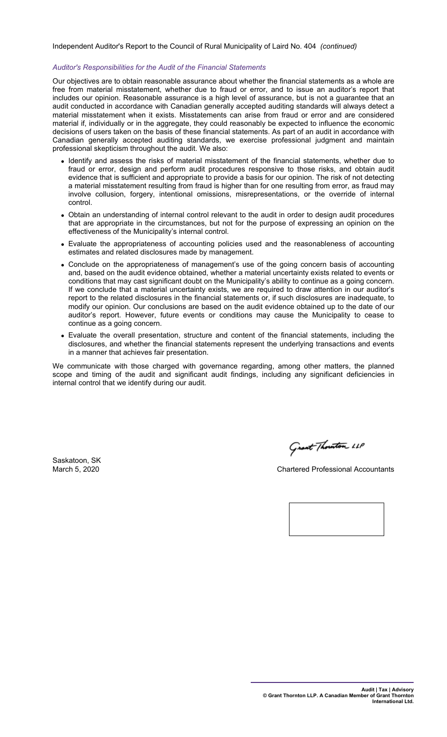Independent Auditor's Report to the Council of Rural Municipality of Laird No. 404 *(continued)*

#### *Auditor's Responsibilities for the Audit of the Financial Statements*

Our objectives are to obtain reasonable assurance about whether the financial statements as a whole are free from material misstatement, whether due to fraud or error, and to issue an auditor's report that includes our opinion. Reasonable assurance is a high level of assurance, but is not a guarantee that an audit conducted in accordance with Canadian generally accepted auditing standards will always detect a material misstatement when it exists. Misstatements can arise from fraud or error and are considered material if, individually or in the aggregate, they could reasonably be expected to influence the economic decisions of users taken on the basis of these financial statements. As part of an audit in accordance with Canadian generally accepted auditing standards, we exercise professional judgment and maintain professional skepticism throughout the audit. We also:

- Identify and assess the risks of material misstatement of the financial statements, whether due to fraud or error, design and perform audit procedures responsive to those risks, and obtain audit evidence that is sufficient and appropriate to provide a basis for our opinion. The risk of not detecting a material misstatement resulting from fraud is higher than for one resulting from error, as fraud may involve collusion, forgery, intentional omissions, misrepresentations, or the override of internal control.
- Obtain an understanding of internal control relevant to the audit in order to design audit procedures that are appropriate in the circumstances, but not for the purpose of expressing an opinion on the effectiveness of the Municipality's internal control.
- Evaluate the appropriateness of accounting policies used and the reasonableness of accounting estimates and related disclosures made by management.
- Conclude on the appropriateness of management's use of the going concern basis of accounting and, based on the audit evidence obtained, whether a material uncertainty exists related to events or conditions that may cast significant doubt on the Municipality's ability to continue as a going concern. If we conclude that a material uncertainty exists, we are required to draw attention in our auditor's report to the related disclosures in the financial statements or, if such disclosures are inadequate, to modify our opinion. Our conclusions are based on the audit evidence obtained up to the date of our auditor's report. However, future events or conditions may cause the Municipality to cease to continue as a going concern.
- Evaluate the overall presentation, structure and content of the financial statements, including the disclosures, and whether the financial statements represent the underlying transactions and events in a manner that achieves fair presentation.

We communicate with those charged with governance regarding, among other matters, the planned scope and timing of the audit and significant audit findings, including any significant deficiencies in internal control that we identify during our audit.

Saskatoon, SK<br>March 5, 2020

Grant Thouston LLP

**Chartered Professional Accountants** 

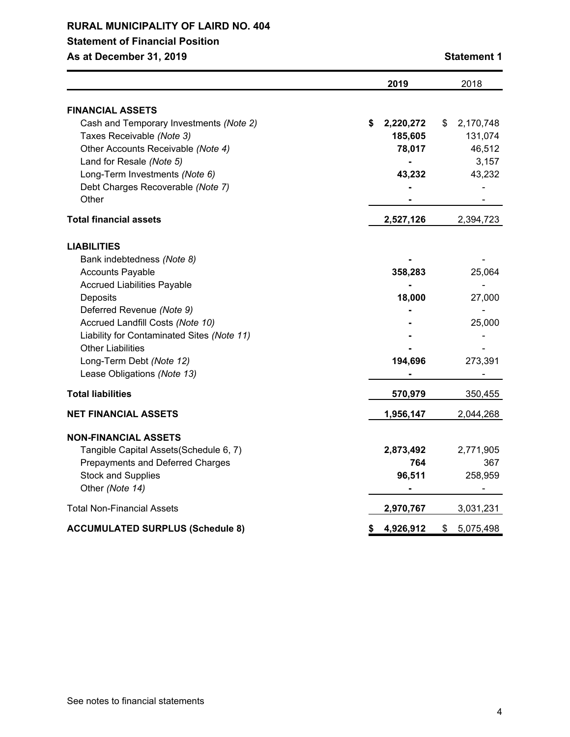# **Statement of Financial Position**

**As at December 31, 2019 Statement 1**

|                                                                                                                                                                                                                                                                                                                                     | 2019                                           | 2018                                                    |
|-------------------------------------------------------------------------------------------------------------------------------------------------------------------------------------------------------------------------------------------------------------------------------------------------------------------------------------|------------------------------------------------|---------------------------------------------------------|
|                                                                                                                                                                                                                                                                                                                                     |                                                |                                                         |
| <b>FINANCIAL ASSETS</b><br>Cash and Temporary Investments (Note 2)<br>Taxes Receivable (Note 3)<br>Other Accounts Receivable (Note 4)<br>Land for Resale (Note 5)<br>Long-Term Investments (Note 6)<br>Debt Charges Recoverable (Note 7)<br>Other                                                                                   | \$<br>2,220,272<br>185,605<br>78,017<br>43,232 | \$<br>2,170,748<br>131,074<br>46,512<br>3,157<br>43,232 |
| Total financial assets                                                                                                                                                                                                                                                                                                              | 2,527,126                                      | 2,394,723                                               |
| <b>LIABILITIES</b><br>Bank indebtedness (Note 8)<br><b>Accounts Payable</b><br><b>Accrued Liabilities Payable</b><br>Deposits<br>Deferred Revenue (Note 9)<br>Accrued Landfill Costs (Note 10)<br>Liability for Contaminated Sites (Note 11)<br><b>Other Liabilities</b><br>Long-Term Debt (Note 12)<br>Lease Obligations (Note 13) | 358,283<br>18,000<br>194,696                   | 25,064<br>27,000<br>25,000<br>273,391                   |
| <b>Total liabilities</b>                                                                                                                                                                                                                                                                                                            | 570,979                                        | 350,455                                                 |
| <b>NET FINANCIAL ASSETS</b>                                                                                                                                                                                                                                                                                                         | 1,956,147                                      | 2,044,268                                               |
| <b>NON-FINANCIAL ASSETS</b><br>Tangible Capital Assets (Schedule 6, 7)<br>Prepayments and Deferred Charges<br><b>Stock and Supplies</b><br>Other (Note 14)                                                                                                                                                                          | 2,873,492<br>764<br>96,511                     | 2,771,905<br>367<br>258,959                             |
| <b>Total Non-Financial Assets</b>                                                                                                                                                                                                                                                                                                   | 2,970,767                                      | 3,031,231                                               |
| <b>ACCUMULATED SURPLUS (Schedule 8)</b>                                                                                                                                                                                                                                                                                             | \$<br>4,926,912                                | \$<br>5,075,498                                         |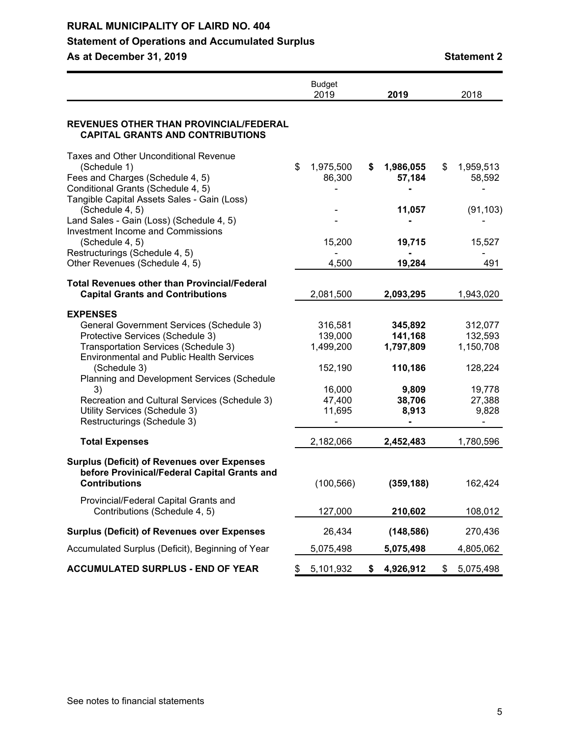# **Statement of Operations and Accumulated Surplus**

**As at December 31, 2019 Statement 2**

|                                                                                                                                                                                                                                                           | <b>Budget</b><br>2019                      | 2019                                       | 2018                                       |
|-----------------------------------------------------------------------------------------------------------------------------------------------------------------------------------------------------------------------------------------------------------|--------------------------------------------|--------------------------------------------|--------------------------------------------|
| REVENUES OTHER THAN PROVINCIAL/FEDERAL<br><b>CAPITAL GRANTS AND CONTRIBUTIONS</b>                                                                                                                                                                         |                                            |                                            |                                            |
| <b>Taxes and Other Unconditional Revenue</b><br>(Schedule 1)<br>Fees and Charges (Schedule 4, 5)<br>Conditional Grants (Schedule 4, 5)<br>Tangible Capital Assets Sales - Gain (Loss)                                                                     | \$<br>1,975,500<br>86,300                  | \$<br>1,986,055<br>57,184                  | \$<br>1,959,513<br>58,592                  |
| (Schedule 4, 5)<br>Land Sales - Gain (Loss) (Schedule 4, 5)<br>Investment Income and Commissions                                                                                                                                                          |                                            | 11,057                                     | (91, 103)                                  |
| (Schedule 4, 5)<br>Restructurings (Schedule 4, 5)<br>Other Revenues (Schedule 4, 5)                                                                                                                                                                       | 15,200<br>4,500                            | 19,715<br>19,284                           | 15,527<br>491                              |
| <b>Total Revenues other than Provincial/Federal</b><br><b>Capital Grants and Contributions</b>                                                                                                                                                            | 2,081,500                                  | 2,093,295                                  | 1,943,020                                  |
| <b>EXPENSES</b><br>General Government Services (Schedule 3)<br>Protective Services (Schedule 3)<br>Transportation Services (Schedule 3)<br><b>Environmental and Public Health Services</b><br>(Schedule 3)<br>Planning and Development Services (Schedule | 316,581<br>139,000<br>1,499,200<br>152,190 | 345,892<br>141,168<br>1,797,809<br>110,186 | 312,077<br>132,593<br>1,150,708<br>128,224 |
| 3)<br>Recreation and Cultural Services (Schedule 3)<br>Utility Services (Schedule 3)<br>Restructurings (Schedule 3)                                                                                                                                       | 16,000<br>47,400<br>11,695                 | 9,809<br>38,706<br>8,913                   | 19,778<br>27,388<br>9,828                  |
| <b>Total Expenses</b>                                                                                                                                                                                                                                     | 2,182,066                                  | 2,452,483                                  | 1,780,596                                  |
| <b>Surplus (Deficit) of Revenues over Expenses</b><br>before Provinical/Federal Capital Grants and<br><b>Contributions</b>                                                                                                                                | (100, 566)                                 | (359, 188)                                 | 162,424                                    |
| Provincial/Federal Capital Grants and<br>Contributions (Schedule 4, 5)                                                                                                                                                                                    | 127,000                                    | 210,602                                    | 108,012                                    |
| <b>Surplus (Deficit) of Revenues over Expenses</b>                                                                                                                                                                                                        | 26,434                                     | (148, 586)                                 | 270,436                                    |
| Accumulated Surplus (Deficit), Beginning of Year                                                                                                                                                                                                          | 5,075,498                                  | 5,075,498                                  | 4,805,062                                  |
| <b>ACCUMULATED SURPLUS - END OF YEAR</b>                                                                                                                                                                                                                  | \$<br>5,101,932                            | \$<br>4,926,912                            | \$<br>5,075,498                            |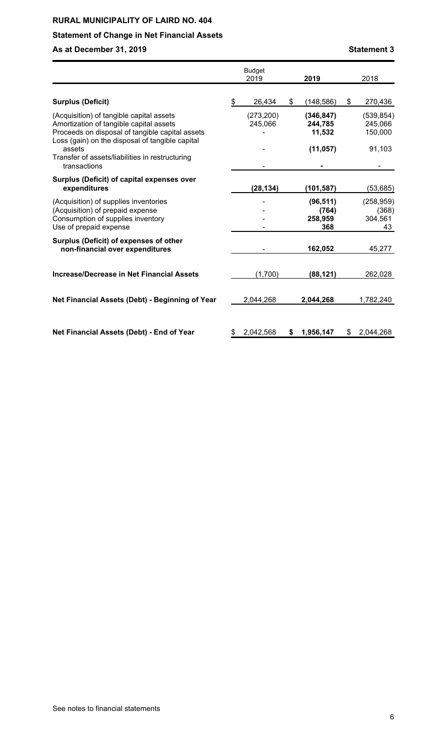# **Statement of Change in Net Financial Assets**

# **As at December 31, 2019 Statement 3**

|                                                                                                                                                                                           | <b>Budget</b><br>2019 | 2019                                 | 2018                                 |
|-------------------------------------------------------------------------------------------------------------------------------------------------------------------------------------------|-----------------------|--------------------------------------|--------------------------------------|
| <b>Surplus (Deficit)</b>                                                                                                                                                                  | \$<br>26,434          | \$<br>(148, 586)                     | \$<br>270,436                        |
| (Acquisition) of tangible capital assets<br>Amortization of tangible capital assets<br>Proceeds on disposal of tangible capital assets<br>Loss (gain) on the disposal of tangible capital | (273, 200)<br>245,066 | (346, 847)<br>244,785<br>11,532      | (539, 854)<br>245,066<br>150,000     |
| assets<br>Transfer of assets/liabilities in restructuring<br>transactions                                                                                                                 |                       | (11, 057)                            | 91,103                               |
| Surplus (Deficit) of capital expenses over<br>expenditures                                                                                                                                | (28, 134)             | (101, 587)                           | (53,685)                             |
| (Acquisition) of supplies inventories<br>(Acquisition) of prepaid expense<br>Consumption of supplies inventory<br>Use of prepaid expense                                                  |                       | (96, 511)<br>(764)<br>258,959<br>368 | (258, 959)<br>(368)<br>304,561<br>43 |
| Surplus (Deficit) of expenses of other<br>non-financial over expenditures                                                                                                                 |                       | 162,052                              | 45,277                               |
| <b>Increase/Decrease in Net Financial Assets</b>                                                                                                                                          | (1,700)               | (88, 121)                            | 262,028                              |
| Net Financial Assets (Debt) - Beginning of Year                                                                                                                                           | 2,044,268             | 2,044,268                            | 1,782,240                            |
| Net Financial Assets (Debt) - End of Year                                                                                                                                                 | \$<br>2,042,568       | \$<br>1,956,147                      | \$2,044,268                          |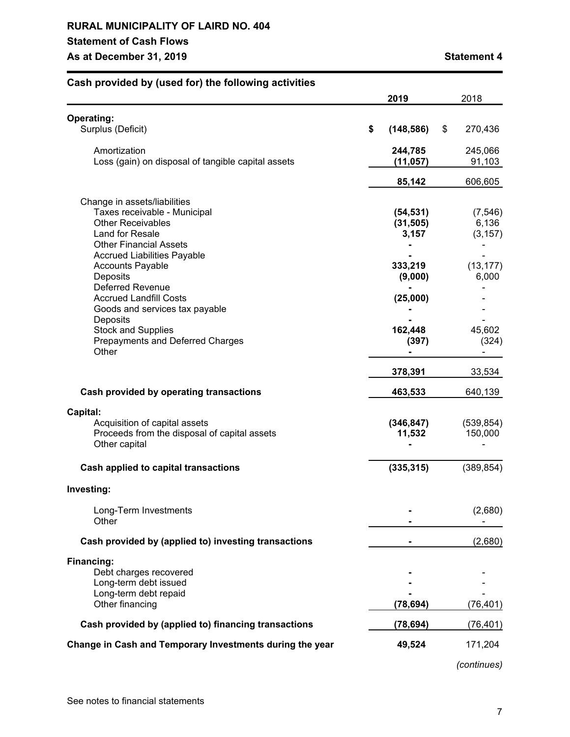# **RURAL MUNICIPALITY OF LAIRD NO. 404 Statement of Cash Flows As at December 31, 2019 Statement 4**

| ash provided by (ased for) the following                                                                                                     | 2019                            | 2018                          |
|----------------------------------------------------------------------------------------------------------------------------------------------|---------------------------------|-------------------------------|
| <b>Operating:</b><br>Surplus (Deficit)                                                                                                       | \$<br>(148, 586)                | \$<br>270,436                 |
| Amortization<br>Loss (gain) on disposal of tangible capital assets                                                                           | 244,785<br>(11, 057)            | 245,066<br>91,103             |
|                                                                                                                                              | 85,142                          | 606,605                       |
| Change in assets/liabilities<br>Taxes receivable - Municipal<br><b>Other Receivables</b><br>Land for Resale<br><b>Other Financial Assets</b> | (54, 531)<br>(31, 505)<br>3,157 | (7, 546)<br>6,136<br>(3, 157) |
| <b>Accrued Liabilities Payable</b><br><b>Accounts Payable</b><br>Deposits<br><b>Deferred Revenue</b>                                         | 333,219<br>(9,000)              | (13, 177)<br>6,000            |
| <b>Accrued Landfill Costs</b><br>Goods and services tax payable<br>Deposits<br><b>Stock and Supplies</b>                                     | (25,000)<br>162,448             | 45,602                        |
| Prepayments and Deferred Charges<br>Other                                                                                                    | (397)<br>378,391                | (324)<br>33,534               |
| Cash provided by operating transactions                                                                                                      | 463,533                         | 640,139                       |
| Capital:<br>Acquisition of capital assets<br>Proceeds from the disposal of capital assets<br>Other capital                                   | (346, 847)<br>11,532            | (539, 854)<br>150,000         |
| Cash applied to capital transactions                                                                                                         | (335, 315)                      | (389, 854)                    |
| Investing:                                                                                                                                   |                                 |                               |
| Long-Term Investments<br>Other                                                                                                               |                                 | (2,680)                       |
| Cash provided by (applied to) investing transactions                                                                                         |                                 | (2,680)                       |
| Financing:<br>Debt charges recovered<br>Long-term debt issued<br>Long-term debt repaid<br>Other financing                                    | (78, 694)                       | (76,401)                      |
| Cash provided by (applied to) financing transactions                                                                                         | (78, 694)                       | (76,401)                      |
| Change in Cash and Temporary Investments during the year                                                                                     | 49,524                          | 171,204                       |

*(continues)*

# **Cash provided by (used for) the following activities**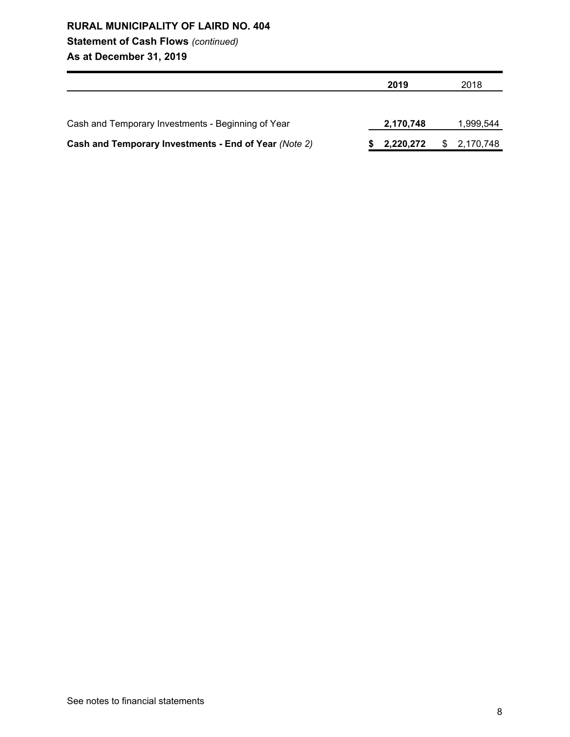# **Statement of Cash Flows** *(continued)*

**As at December 31, 2019**

|                                                       | 2019      | 2018        |
|-------------------------------------------------------|-----------|-------------|
|                                                       |           |             |
| Cash and Temporary Investments - Beginning of Year    | 2,170,748 | 1,999,544   |
| Cash and Temporary Investments - End of Year (Note 2) | 2,220,272 | \$2,170,748 |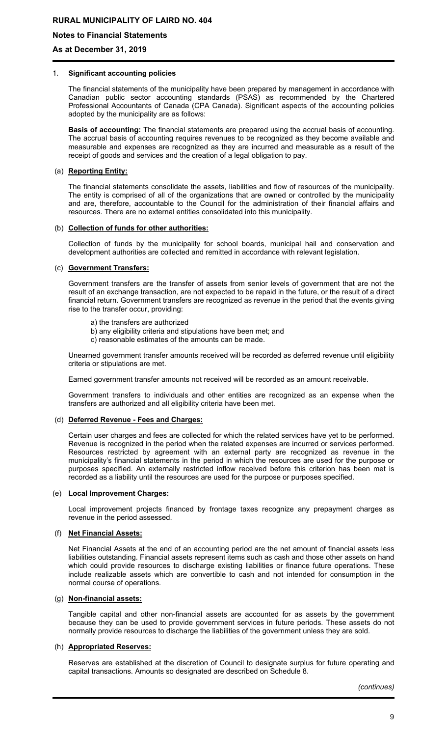**Notes to Financial Statements**

**As at December 31, 2019**

#### 1. **Significant accounting policies**

The financial statements of the municipality have been prepared by management in accordance with Canadian public sector accounting standards (PSAS) as recommended by the Chartered Professional Accountants of Canada (CPA Canada). Significant aspects of the accounting policies adopted by the municipality are as follows:

**Basis of accounting:** The financial statements are prepared using the accrual basis of accounting. The accrual basis of accounting requires revenues to be recognized as they become available and measurable and expenses are recognized as they are incurred and measurable as a result of the receipt of goods and services and the creation of a legal obligation to pay.

#### (a) **Reporting Entity:**

The financial statements consolidate the assets, liabilities and flow of resources of the municipality. The entity is comprised of all of the organizations that are owned or controlled by the municipality and are, therefore, accountable to the Council for the administration of their financial affairs and resources. There are no external entities consolidated into this municipality.

#### (b) **Collection of funds for other authorities:**

Collection of funds by the municipality for school boards, municipal hail and conservation and development authorities are collected and remitted in accordance with relevant legislation.

#### (c) **Government Transfers:**

Government transfers are the transfer of assets from senior levels of government that are not the result of an exchange transaction, are not expected to be repaid in the future, or the result of a direct financial return. Government transfers are recognized as revenue in the period that the events giving rise to the transfer occur, providing:

- a) the transfers are authorized
- b) any eligibility criteria and stipulations have been met; and
- c) reasonable estimates of the amounts can be made.

Unearned government transfer amounts received will be recorded as deferred revenue until eligibility criteria or stipulations are met.

Earned government transfer amounts not received will be recorded as an amount receivable.

Government transfers to individuals and other entities are recognized as an expense when the transfers are authorized and all eligibility criteria have been met.

#### (d) **Deferred Revenue - Fees and Charges:**

Certain user charges and fees are collected for which the related services have yet to be performed. Revenue is recognized in the period when the related expenses are incurred or services performed. Resources restricted by agreement with an external party are recognized as revenue in the municipality's financial statements in the period in which the resources are used for the purpose or purposes specified. An externally restricted inflow received before this criterion has been met is recorded as a liability until the resources are used for the purpose or purposes specified.

#### (e) **Local Improvement Charges:**

Local improvement projects financed by frontage taxes recognize any prepayment charges as revenue in the period assessed.

#### (f) **Net Financial Assets:**

Net Financial Assets at the end of an accounting period are the net amount of financial assets less liabilities outstanding. Financial assets represent items such as cash and those other assets on hand which could provide resources to discharge existing liabilities or finance future operations. These include realizable assets which are convertible to cash and not intended for consumption in the normal course of operations.

#### (g) **Non-financial assets:**

Tangible capital and other non-financial assets are accounted for as assets by the government because they can be used to provide government services in future periods. These assets do not normally provide resources to discharge the liabilities of the government unless they are sold.

# (h) **Appropriated Reserves:**

Reserves are established at the discretion of Council to designate surplus for future operating and capital transactions. Amounts so designated are described on Schedule 8.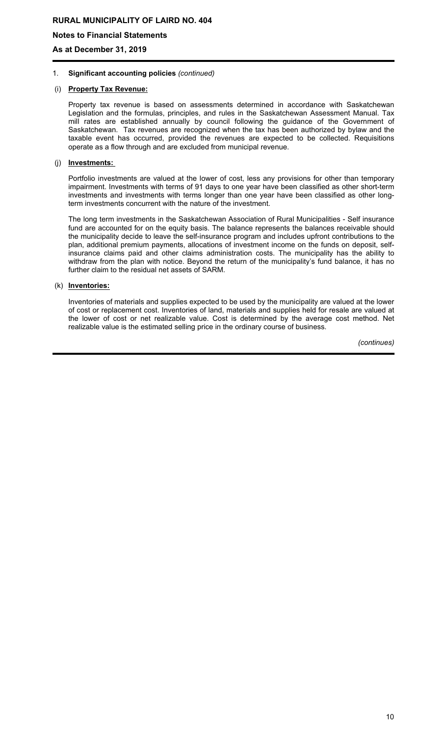**Notes to Financial Statements**

**As at December 31, 2019**

#### 1. **Significant accounting policies** *(continued)*

## (i) **Property Tax Revenue:**

Property tax revenue is based on assessments determined in accordance with Saskatchewan Legislation and the formulas, principles, and rules in the Saskatchewan Assessment Manual. Tax mill rates are established annually by council following the guidance of the Government of Saskatchewan. Tax revenues are recognized when the tax has been authorized by bylaw and the taxable event has occurred, provided the revenues are expected to be collected. Requisitions operate as a flow through and are excluded from municipal revenue.

#### (j) **Investments:**

Portfolio investments are valued at the lower of cost, less any provisions for other than temporary impairment. Investments with terms of 91 days to one year have been classified as other short-term investments and investments with terms longer than one year have been classified as other longterm investments concurrent with the nature of the investment.

The long term investments in the Saskatchewan Association of Rural Municipalities - Self insurance fund are accounted for on the equity basis. The balance represents the balances receivable should the municipality decide to leave the self-insurance program and includes upfront contributions to the plan, additional premium payments, allocations of investment income on the funds on deposit, selfinsurance claims paid and other claims administration costs. The municipality has the ability to withdraw from the plan with notice. Beyond the return of the municipality's fund balance, it has no further claim to the residual net assets of SARM.

## (k) **Inventories:**

Inventories of materials and supplies expected to be used by the municipality are valued at the lower of cost or replacement cost. Inventories of land, materials and supplies held for resale are valued at the lower of cost or net realizable value. Cost is determined by the average cost method. Net realizable value is the estimated selling price in the ordinary course of business.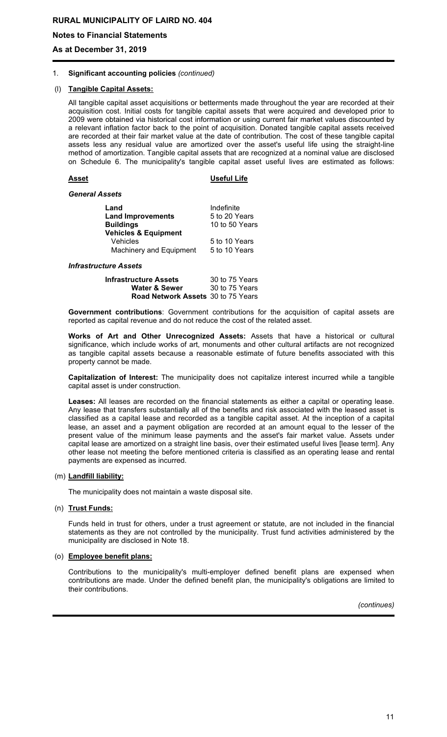**Notes to Financial Statements**

**As at December 31, 2019**

#### 1. **Significant accounting policies** *(continued)*

## (l) **Tangible Capital Assets:**

All tangible capital asset acquisitions or betterments made throughout the year are recorded at their acquisition cost. Initial costs for tangible capital assets that were acquired and developed prior to 2009 were obtained via historical cost information or using current fair market values discounted by a relevant inflation factor back to the point of acquisition. Donated tangible capital assets received are recorded at their fair market value at the date of contribution. The cost of these tangible capital assets less any residual value are amortized over the asset's useful life using the straight-line method of amortization. Tangible capital assets that are recognized at a nominal value are disclosed on Schedule 6. The municipality's tangible capital asset useful lives are estimated as follows:

#### **Asset Useful Life**

#### *General Assets*

| Indefinite<br>5 to 20 Years |
|-----------------------------|
|                             |
| 10 to 50 Years              |
|                             |
| 5 to 10 Years               |
| 5 to 10 Years               |
|                             |

*Infrastructure Assets*

| Infrastructure Assets                     | 30 to 75 Years |
|-------------------------------------------|----------------|
| <b>Water &amp; Sewer</b>                  | 30 to 75 Years |
| <b>Road Network Assets</b> 30 to 75 Years |                |

**Government contributions**: Government contributions for the acquisition of capital assets are reported as capital revenue and do not reduce the cost of the related asset.

**Works of Art and Other Unrecognized Assets:** Assets that have a historical or cultural significance, which include works of art, monuments and other cultural artifacts are not recognized as tangible capital assets because a reasonable estimate of future benefits associated with this property cannot be made.

**Capitalization of Interest:** The municipality does not capitalize interest incurred while a tangible capital asset is under construction.

**Leases:** All leases are recorded on the financial statements as either a capital or operating lease. Any lease that transfers substantially all of the benefits and risk associated with the leased asset is classified as a capital lease and recorded as a tangible capital asset. At the inception of a capital lease, an asset and a payment obligation are recorded at an amount equal to the lesser of the present value of the minimum lease payments and the asset's fair market value. Assets under capital lease are amortized on a straight line basis, over their estimated useful lives [lease term]. Any other lease not meeting the before mentioned criteria is classified as an operating lease and rental payments are expensed as incurred.

#### (m) **Landfill liability:**

The municipality does not maintain a waste disposal site.

#### (n) **Trust Funds:**

Funds held in trust for others, under a trust agreement or statute, are not included in the financial statements as they are not controlled by the municipality. Trust fund activities administered by the municipality are disclosed in Note 18.

#### (o) **Employee benefit plans:**

Contributions to the municipality's multi-employer defined benefit plans are expensed when contributions are made. Under the defined benefit plan, the municipality's obligations are limited to their contributions.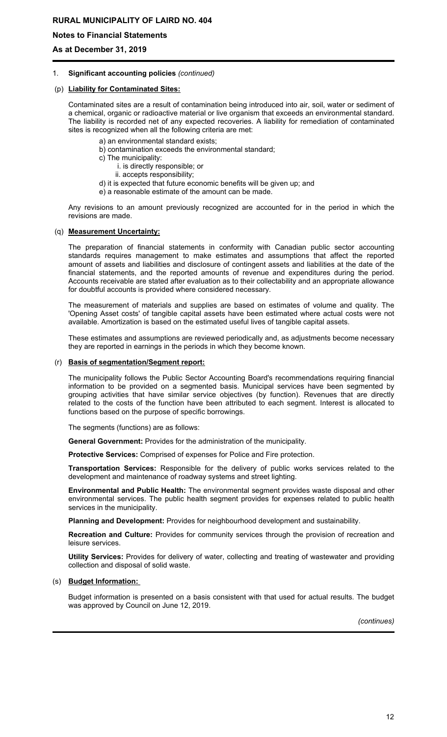**Notes to Financial Statements**

**As at December 31, 2019**

#### 1. **Significant accounting policies** *(continued)*

#### (p) **Liability for Contaminated Sites:**

Contaminated sites are a result of contamination being introduced into air, soil, water or sediment of a chemical, organic or radioactive material or live organism that exceeds an environmental standard. The liability is recorded net of any expected recoveries. A liability for remediation of contaminated sites is recognized when all the following criteria are met:

- a) an environmental standard exists;
- b) contamination exceeds the environmental standard;
- c) The municipality:
	- i. is directly responsible; or
	- ii. accepts responsibility;
- d) it is expected that future economic benefits will be given up; and
- e) a reasonable estimate of the amount can be made.

Any revisions to an amount previously recognized are accounted for in the period in which the revisions are made.

#### (q) **Measurement Uncertainty:**

The preparation of financial statements in conformity with Canadian public sector accounting standards requires management to make estimates and assumptions that affect the reported amount of assets and liabilities and disclosure of contingent assets and liabilities at the date of the financial statements, and the reported amounts of revenue and expenditures during the period. Accounts receivable are stated after evaluation as to their collectability and an appropriate allowance for doubtful accounts is provided where considered necessary.

The measurement of materials and supplies are based on estimates of volume and quality. The 'Opening Asset costs' of tangible capital assets have been estimated where actual costs were not available. Amortization is based on the estimated useful lives of tangible capital assets.

These estimates and assumptions are reviewed periodically and, as adjustments become necessary they are reported in earnings in the periods in which they become known.

#### (r) **Basis of segmentation/Segment report:**

The municipality follows the Public Sector Accounting Board's recommendations requiring financial information to be provided on a segmented basis. Municipal services have been segmented by grouping activities that have similar service objectives (by function). Revenues that are directly related to the costs of the function have been attributed to each segment. Interest is allocated to functions based on the purpose of specific borrowings.

The segments (functions) are as follows:

**General Government:** Provides for the administration of the municipality.

**Protective Services:** Comprised of expenses for Police and Fire protection.

**Transportation Services:** Responsible for the delivery of public works services related to the development and maintenance of roadway systems and street lighting.

**Environmental and Public Health:** The environmental segment provides waste disposal and other environmental services. The public health segment provides for expenses related to public health services in the municipality.

**Planning and Development:** Provides for neighbourhood development and sustainability.

**Recreation and Culture:** Provides for community services through the provision of recreation and leisure services.

**Utility Services:** Provides for delivery of water, collecting and treating of wastewater and providing collection and disposal of solid waste.

#### (s) **Budget Information:**

Budget information is presented on a basis consistent with that used for actual results. The budget was approved by Council on June 12, 2019.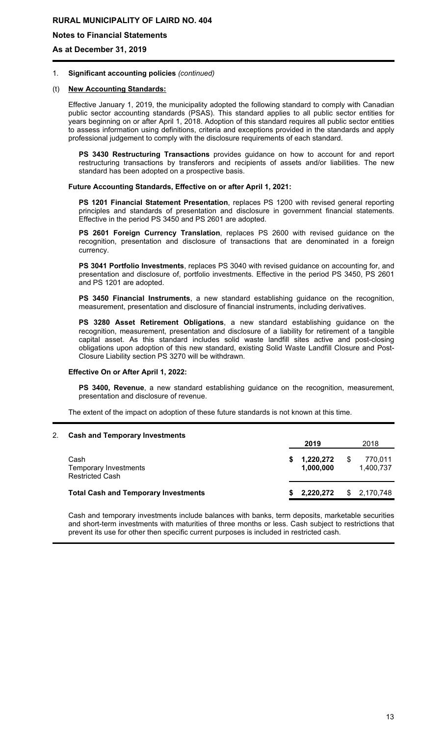**Notes to Financial Statements**

**As at December 31, 2019**

#### 1. **Significant accounting policies** *(continued)*

#### (t) **New Accounting Standards:**

Effective January 1, 2019, the municipality adopted the following standard to comply with Canadian public sector accounting standards (PSAS). This standard applies to all public sector entities for years beginning on or after April 1, 2018. Adoption of this standard requires all public sector entities to assess information using definitions, criteria and exceptions provided in the standards and apply professional judgement to comply with the disclosure requirements of each standard.

**PS 3430 Restructuring Transactions** provides guidance on how to account for and report restructuring transactions by transferors and recipients of assets and/or liabilities. The new standard has been adopted on a prospective basis.

#### **Future Accounting Standards, Effective on or after April 1, 2021:**

**PS 1201 Financial Statement Presentation**, replaces PS 1200 with revised general reporting principles and standards of presentation and disclosure in government financial statements. Effective in the period PS 3450 and PS 2601 are adopted.

**PS 2601 Foreign Currency Translation**, replaces PS 2600 with revised guidance on the recognition, presentation and disclosure of transactions that are denominated in a foreign currency.

**PS 3041 Portfolio Investments**, replaces PS 3040 with revised guidance on accounting for, and presentation and disclosure of, portfolio investments. Effective in the period PS 3450, PS 2601 and PS 1201 are adopted.

**PS 3450 Financial Instruments**, a new standard establishing guidance on the recognition, measurement, presentation and disclosure of financial instruments, including derivatives.

**PS 3280 Asset Retirement Obligations**, a new standard establishing guidance on the recognition, measurement, presentation and disclosure of a liability for retirement of a tangible capital asset. As this standard includes solid waste landfill sites active and post-closing obligations upon adoption of this new standard, existing Solid Waste Landfill Closure and Post-Closure Liability section PS 3270 will be withdrawn.

#### **Effective On or After April 1, 2022:**

**PS 3400, Revenue**, a new standard establishing guidance on the recognition, measurement, presentation and disclosure of revenue.

The extent of the impact on adoption of these future standards is not known at this time.

#### 2. **Cash and Temporary Investments**

|                                                         | 2019                   |           |     | 2018                 |  |  |
|---------------------------------------------------------|------------------------|-----------|-----|----------------------|--|--|
| Cash<br>Temporary Investments<br><b>Restricted Cash</b> | 1,220,272<br>1,000,000 |           | \$. | 770,011<br>1,400,737 |  |  |
| <b>Total Cash and Temporary Investments</b>             |                        | 2,220,272 |     | \$2,170,748          |  |  |

Cash and temporary investments include balances with banks, term deposits, marketable securities and short-term investments with maturities of three months or less. Cash subject to restrictions that prevent its use for other then specific current purposes is included in restricted cash.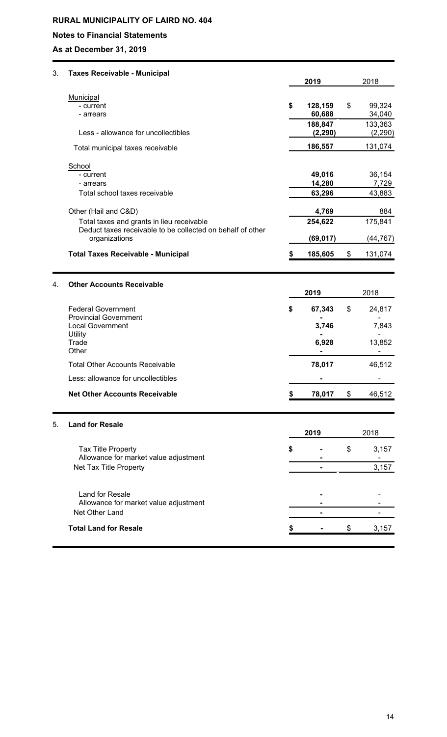# **Notes to Financial Statements**

**As at December 31, 2019**

| 3. | <b>Taxes Receivable - Municipal</b>                                                                                             |    | 2019                | 2018 |                     |  |
|----|---------------------------------------------------------------------------------------------------------------------------------|----|---------------------|------|---------------------|--|
|    |                                                                                                                                 |    |                     |      |                     |  |
|    | Municipal<br>- current<br>- arrears                                                                                             | \$ | 128,159<br>60,688   | \$   | 99,324<br>34,040    |  |
|    | Less - allowance for uncollectibles                                                                                             |    | 188,847<br>(2, 290) |      | 133,363<br>(2, 290) |  |
|    | Total municipal taxes receivable                                                                                                |    | 186,557             |      | 131,074             |  |
|    | School<br>- current<br>- arrears                                                                                                |    | 49,016<br>14,280    |      | 36,154<br>7,729     |  |
|    | Total school taxes receivable                                                                                                   |    | 63,296              |      | 43,883              |  |
|    | Other (Hail and C&D)<br>Total taxes and grants in lieu receivable<br>Deduct taxes receivable to be collected on behalf of other |    | 4,769<br>254,622    |      | 884<br>175,841      |  |
|    | organizations                                                                                                                   |    | (69, 017)           |      | (44, 767)           |  |
|    | <b>Total Taxes Receivable - Municipal</b>                                                                                       |    | 185,605             | \$   | 131,074             |  |
| 4. | <b>Other Accounts Receivable</b>                                                                                                |    |                     |      |                     |  |
|    | <b>Federal Government</b><br><b>Provincial Government</b>                                                                       |    | 2019                |      | 2018                |  |
|    |                                                                                                                                 | \$ | 67,343              | \$   | 24,817              |  |
|    | <b>Local Government</b>                                                                                                         |    | 3,746               |      | 7,843               |  |
|    | Utility<br>Trade<br>Other                                                                                                       |    | 6,928               |      | 13,852              |  |
|    | <b>Total Other Accounts Receivable</b>                                                                                          |    | 78,017              |      | 46,512              |  |
|    | Less: allowance for uncollectibles                                                                                              |    |                     |      |                     |  |
|    | <b>Net Other Accounts Receivable</b>                                                                                            |    | 78,017              | \$   | 46,512              |  |
| 5. | <b>Land for Resale</b>                                                                                                          |    |                     |      |                     |  |
|    |                                                                                                                                 |    | 2019                |      | 2018                |  |
|    | Tax Title Property<br>Allowance for market value adjustment                                                                     | S  |                     | \$   | 3,157               |  |
|    | Net Tax Title Property                                                                                                          |    |                     |      | 3,157               |  |
|    | Land for Resale<br>Allowance for market value adjustment<br>Net Other Land                                                      |    |                     |      |                     |  |
|    |                                                                                                                                 |    |                     |      |                     |  |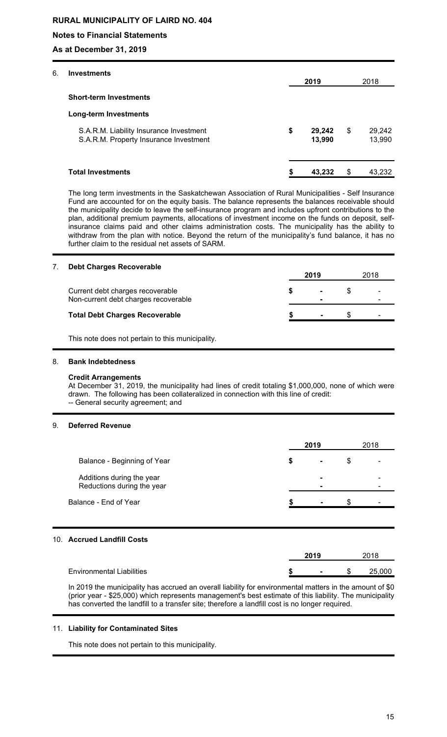# **Notes to Financial Statements**

**As at December 31, 2019**

| 6. | <b>Investments</b>                                                                |                        |                        |
|----|-----------------------------------------------------------------------------------|------------------------|------------------------|
|    |                                                                                   | 2019                   | 2018                   |
|    | <b>Short-term Investments</b>                                                     |                        |                        |
|    | <b>Long-term Investments</b>                                                      |                        |                        |
|    | S.A.R.M. Liability Insurance Investment<br>S.A.R.M. Property Insurance Investment | \$<br>29,242<br>13,990 | \$<br>29,242<br>13,990 |
|    | <b>Total Investments</b>                                                          | \$<br>43,232           | \$<br>43,232           |

The long term investments in the Saskatchewan Association of Rural Municipalities - Self Insurance Fund are accounted for on the equity basis. The balance represents the balances receivable should the municipality decide to leave the self-insurance program and includes upfront contributions to the plan, additional premium payments, allocations of investment income on the funds on deposit, selfinsurance claims paid and other claims administration costs. The municipality has the ability to withdraw from the plan with notice. Beyond the return of the municipality's fund balance, it has no further claim to the residual net assets of SARM.

# 7. **Debt Charges Recoverable 2019** 2018 Current debt charges recoverable **\$ -** \$ - **Non-current debt charges recoverable Total Debt Charges Recoverable \$ -** \$ -

This note does not pertain to this municipality.

#### 8. **Bank Indebtedness**

#### **Credit Arrangements**

At December 31, 2019, the municipality had lines of credit totaling \$1,000,000, none of which were drawn. The following has been collateralized in connection with this line of credit: -- General security agreement; and

#### 9. **Deferred Revenue**

|                                                         | 2019                 |     | 2018 |
|---------------------------------------------------------|----------------------|-----|------|
| Balance - Beginning of Year                             | \$<br>$\blacksquare$ | \$  |      |
| Additions during the year<br>Reductions during the year |                      |     |      |
| Balance - End of Year                                   |                      | \$. |      |
|                                                         |                      |     |      |
| 10. Accrued Landfill Costs                              |                      |     |      |
|                                                         | 2019                 |     | 2018 |

| Environmental<br>' Liabilities |  |  | u |  |
|--------------------------------|--|--|---|--|
|--------------------------------|--|--|---|--|

In 2019 the municipality has accrued an overall liability for environmental matters in the amount of \$0 (prior year - \$25,000) which represents management's best estimate of this liability. The municipality has converted the landfill to a transfer site; therefore a landfill cost is no longer required.

#### 11. **Liability for Contaminated Sites**

This note does not pertain to this municipality.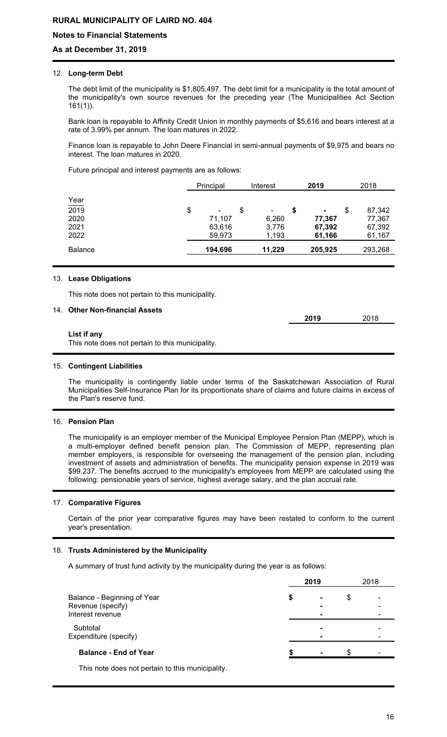# **Notes to Financial Statements**

## **As at December 31, 2019**

#### 12. **Long-term Debt**

The debt limit of the municipality is \$1,805,497. The debt limit for a municipality is the total amount of the municipality's own source revenues for the preceding year (The Municipalities Act Section 161(1)).

Bank loan is repayable to Affinity Credit Union in monthly payments of \$5,616 and bears interest at a rate of 3.99% per annum. The loan matures in 2022.

Finance loan is repayable to John Deere Financial in semi-annual payments of \$9,975 and bears no interest. The loan matures in 2020.

Future principal and interest payments are as follows:

|                     | Principal    | Interest             |   | 2019           | 2018         |
|---------------------|--------------|----------------------|---|----------------|--------------|
|                     |              |                      |   |                |              |
| $\frac{Year}{2019}$ | \$<br>$\sim$ | \$<br>$\blacksquare$ | S | $\blacksquare$ | \$<br>87,342 |
| 2020                | 71,107       | 6,260                |   | 77,367         | 77,367       |
| 2021                | 63,616       | 3,776                |   | 67,392         | 67,392       |
| 2022                | 59,973       | 1,193                |   | 61,166         | 61,167       |
| <b>Balance</b>      | 194,696      | 11,229               |   | 205,925        | 293,268      |
|                     |              |                      |   |                |              |

#### 13. **Lease Obligations**

This note does not pertain to this municipality.

## 14. **Other Non-financial Assets**

|                                                                 | 2019 | 2018 |
|-----------------------------------------------------------------|------|------|
| List if any<br>This note does not pertain to this municipality. |      |      |
|                                                                 |      |      |

#### 15. **Contingent Liabilities**

The municipality is contingently liable under terms of the Saskatchewan Association of Rural Municipalities Self-Insurance Plan for its proportionate share of claims and future claims in excess of the Plan's reserve fund.

#### 16. **Pension Plan**

The municipality is an employer member of the Municipal Employee Pension Plan (MEPP), which is a multi-employer defined benefit pension plan. The Commission of MEPP, representing plan member employers, is responsible for overseeing the management of the pension plan, including investment of assets and administration of benefits. The municipality pension expense in 2019 was \$99,237. The benefits accrued to the municipality's employees from MEPP are calculated using the following: pensionable years of service, highest average salary, and the plan accrual rate.

#### 17. **Comparative Figures**

Certain of the prior year comparative figures may have been restated to conform to the current year's presentation.

#### 18. **Trusts Administered by the Municipality**

A summary of trust fund activity by the municipality during the year is as follows:

|                                                                                                                                                                                                                                | 2019                      |   | 2018 |
|--------------------------------------------------------------------------------------------------------------------------------------------------------------------------------------------------------------------------------|---------------------------|---|------|
| Balance - Beginning of Year<br>Revenue (specify)<br>Interest revenue                                                                                                                                                           | \$<br>$\blacksquare$<br>- | S |      |
| Subtotal<br>Expenditure (specify)                                                                                                                                                                                              |                           |   |      |
| <b>Balance - End of Year</b>                                                                                                                                                                                                   |                           |   |      |
| THE REPORT OF REAL PROPERTY AND RELEASED FOR THE RELEASED FOR THE RELEASED OF THE RELEASED FOR THE RELEASED FOR THE RELEASED FOR THE RELEASED FOR THE RELEASED FOR THE RELEASED FOR THE RELEASED FOR THE RELEASED FOR THE RELE |                           |   |      |

This note does not pertain to this municipality.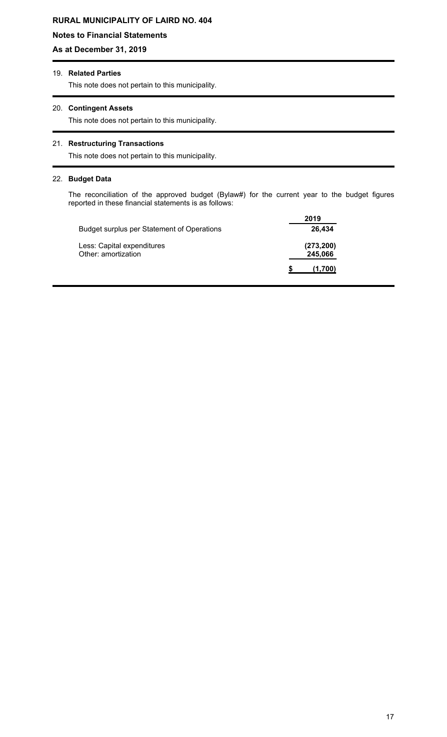# **Notes to Financial Statements**

# **As at December 31, 2019**

# 19. **Related Parties**

This note does not pertain to this municipality.

## 20. **Contingent Assets**

This note does not pertain to this municipality.

# 21. **Restructuring Transactions**

This note does not pertain to this municipality.

### 22. **Budget Data**

The reconciliation of the approved budget (Bylaw#) for the current year to the budget figures reported in these financial statements is as follows:

|                                                   | 2019                  |
|---------------------------------------------------|-----------------------|
| <b>Budget surplus per Statement of Operations</b> | 26,434                |
| Less: Capital expenditures<br>Other: amortization | (273, 200)<br>245,066 |
|                                                   | (1,700)               |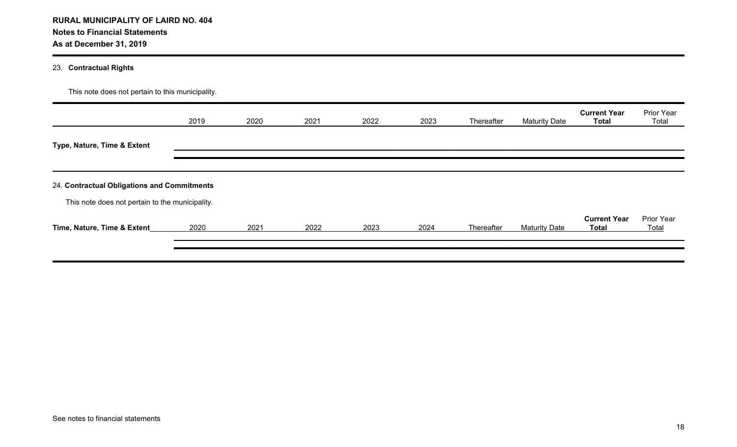# 23. **Contractual Rights**

|                                                                                                | 2019 | 2020 | 2021 | 2022 | 2023 | Thereafter | <b>Maturity Date</b> | <b>Current Year</b><br><b>Total</b> | Prior Year<br>Total |
|------------------------------------------------------------------------------------------------|------|------|------|------|------|------------|----------------------|-------------------------------------|---------------------|
| Type, Nature, Time & Extent                                                                    |      |      |      |      |      |            |                      |                                     |                     |
|                                                                                                |      |      |      |      |      |            |                      |                                     |                     |
|                                                                                                |      |      |      |      |      |            |                      |                                     |                     |
| 24. Contractual Obligations and Commitments<br>This note does not pertain to the municipality. |      |      |      |      |      |            |                      |                                     |                     |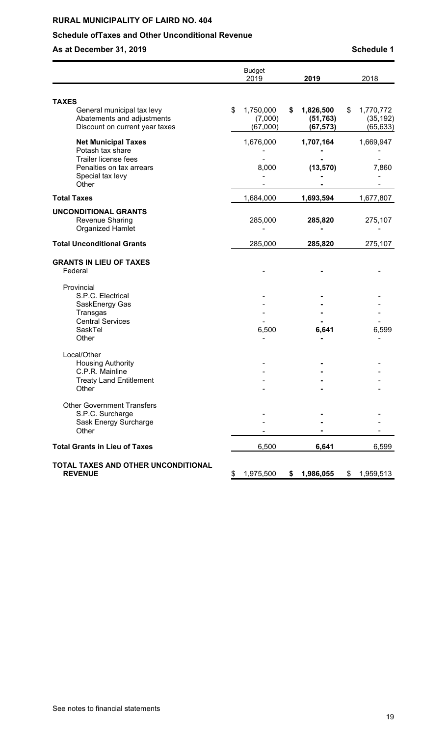# **Schedule ofTaxes and Other Unconditional Revenue**

**As at December 31, 2019 As at December 31, 2019 Schedule 1** 

|                                                                                                                                 | <b>Budget</b><br>2019                  | 2019                                     | 2018                                     |
|---------------------------------------------------------------------------------------------------------------------------------|----------------------------------------|------------------------------------------|------------------------------------------|
| <b>TAXES</b>                                                                                                                    |                                        |                                          |                                          |
| General municipal tax levy<br>Abatements and adjustments<br>Discount on current year taxes                                      | \$<br>1,750,000<br>(7,000)<br>(67,000) | \$<br>1,826,500<br>(51, 763)<br>(67,573) | \$<br>1,770,772<br>(35, 192)<br>(65,633) |
| <b>Net Municipal Taxes</b><br>Potash tax share<br>Trailer license fees<br>Penalties on tax arrears<br>Special tax levy<br>Other | 1,676,000<br>8,000                     | 1,707,164<br>(13, 570)                   | 1,669,947<br>7,860                       |
| <b>Total Taxes</b>                                                                                                              | 1,684,000                              | 1,693,594                                | 1,677,807                                |
| <b>UNCONDITIONAL GRANTS</b><br>Revenue Sharing<br><b>Organized Hamlet</b>                                                       | 285,000                                | 285,820                                  | 275,107                                  |
| <b>Total Unconditional Grants</b>                                                                                               | 285,000                                | 285,820                                  | 275,107                                  |
| <b>GRANTS IN LIEU OF TAXES</b><br>Federal                                                                                       |                                        |                                          |                                          |
| Provincial<br>S.P.C. Electrical<br>SaskEnergy Gas<br>Transgas<br><b>Central Services</b><br>SaskTel<br>Other                    | 6,500                                  | 6,641                                    | 6,599                                    |
| Local/Other<br><b>Housing Authority</b><br>C.P.R. Mainline<br><b>Treaty Land Entitlement</b><br>Other                           |                                        |                                          |                                          |
| <b>Other Government Transfers</b><br>S.P.C. Surcharge<br>Sask Energy Surcharge<br>Other                                         |                                        |                                          |                                          |
| <b>Total Grants in Lieu of Taxes</b>                                                                                            | 6,500                                  | 6,641                                    | 6,599                                    |
| TOTAL TAXES AND OTHER UNCONDITIONAL<br><b>REVENUE</b>                                                                           | \$<br>1,975,500                        | \$<br>1,986,055                          | \$1,959,513                              |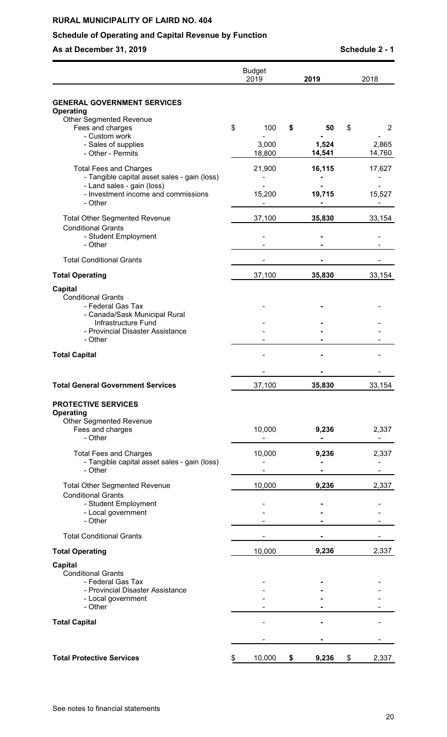# **Schedule of Operating and Capital Revenue by Function**

**As at December 31, 2019 Schedule 2 - 1** 

|                                                                                                                                                                         | <b>Budget</b><br>2019 | 2019            | 2018            |
|-------------------------------------------------------------------------------------------------------------------------------------------------------------------------|-----------------------|-----------------|-----------------|
| <b>GENERAL GOVERNMENT SERVICES</b>                                                                                                                                      |                       |                 |                 |
| Operating<br><b>Other Segmented Revenue</b><br>Fees and charges                                                                                                         | \$<br>100             | \$<br>50        | \$<br>2         |
| - Custom work<br>- Sales of supplies<br>- Other - Permits                                                                                                               | 3,000<br>18,800       | 1,524<br>14,541 | 2,865<br>14,760 |
| <b>Total Fees and Charges</b><br>- Tangible capital asset sales - gain (loss)                                                                                           | 21,900                | 16,115          | 17,627          |
| - Land sales - gain (loss)<br>- Investment income and commissions<br>- Other                                                                                            | 15,200                | 19,715          | 15,527          |
| <b>Total Other Segmented Revenue</b><br><b>Conditional Grants</b>                                                                                                       | 37,100                | 35,830          | 33,154          |
| - Student Employment<br>- Other                                                                                                                                         |                       |                 |                 |
| <b>Total Conditional Grants</b>                                                                                                                                         |                       |                 |                 |
| <b>Total Operating</b>                                                                                                                                                  | 37,100                | 35,830          | 33,154          |
| <b>Capital</b><br><b>Conditional Grants</b><br>- Federal Gas Tax<br>- Canada/Sask Municipal Rural<br>Infrastructure Fund<br>- Provincial Disaster Assistance<br>- Other |                       |                 |                 |
| <b>Total Capital</b>                                                                                                                                                    |                       |                 |                 |
|                                                                                                                                                                         |                       |                 |                 |
| <b>Total General Government Services</b>                                                                                                                                | 37,100                | 35,830          | 33,154          |
| <b>PROTECTIVE SERVICES</b><br>Operating                                                                                                                                 |                       |                 |                 |
| <b>Other Segmented Revenue</b><br>Fees and charges<br>- Other                                                                                                           | 10,000                | 9,236           | 2,337<br>۰      |
| <b>Total Fees and Charges</b><br>- Tangible capital asset sales - gain (loss)<br>- Other                                                                                | 10,000                | 9,236           | 2,337           |
| <b>Total Other Segmented Revenue</b>                                                                                                                                    | 10,000                | 9,236           | 2,337           |
| <b>Conditional Grants</b><br>- Student Employment<br>- Local government<br>- Other                                                                                      |                       |                 |                 |
| <b>Total Conditional Grants</b>                                                                                                                                         |                       |                 |                 |
| <b>Total Operating</b>                                                                                                                                                  | 10,000                | 9,236           | 2,337           |
| <b>Capital</b>                                                                                                                                                          |                       |                 |                 |
| <b>Conditional Grants</b><br>- Federal Gas Tax<br>- Provincial Disaster Assistance<br>- Local government<br>- Other                                                     |                       |                 |                 |
| <b>Total Capital</b>                                                                                                                                                    |                       |                 |                 |
|                                                                                                                                                                         |                       |                 |                 |
| <b>Total Protective Services</b>                                                                                                                                        | \$<br>10,000          | \$<br>9,236     | \$<br>2,337     |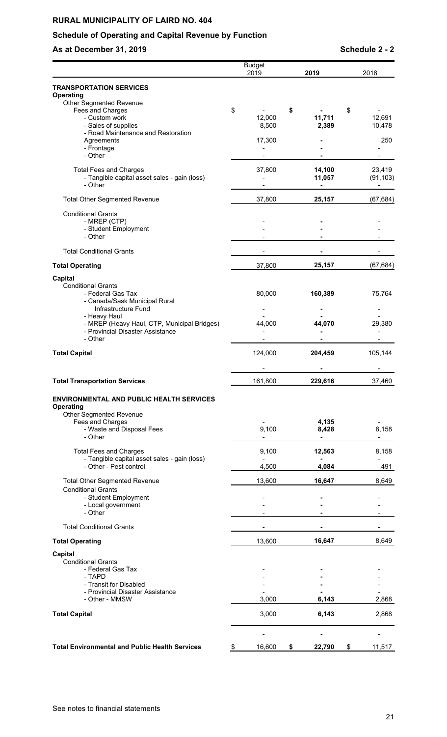# **Schedule of Operating and Capital Revenue by Function**

# **As at December 31, 2019 Schedule 2 - 2**

|                                                                                                   | <b>Budget</b><br>2019   | 2019             | 2018                              |
|---------------------------------------------------------------------------------------------------|-------------------------|------------------|-----------------------------------|
| <b>TRANSPORTATION SERVICES</b>                                                                    |                         |                  |                                   |
| <b>Operating</b><br>Other Segmented Revenue<br>Fees and Charges<br>- Custom work                  | \$<br>12,000            | \$<br>11,711     | \$<br>12,691                      |
| - Sales of supplies<br>- Road Maintenance and Restoration                                         | 8,500                   | 2,389            | 10,478                            |
| Agreements                                                                                        | 17,300                  |                  | 250                               |
| - Frontage<br>- Other                                                                             |                         |                  |                                   |
| <b>Total Fees and Charges</b><br>- Tangible capital asset sales - gain (loss)<br>- Other          | 37,800                  | 14,100<br>11,057 | 23,419<br>(91, 103)<br>-          |
| <b>Total Other Segmented Revenue</b>                                                              | 37,800                  | 25,157           | (67, 684)                         |
| <b>Conditional Grants</b><br>- MREP (CTP)<br>- Student Employment<br>- Other                      |                         |                  |                                   |
| <b>Total Conditional Grants</b>                                                                   |                         |                  |                                   |
| <b>Total Operating</b>                                                                            | 37,800                  | 25,157           | (67, 684)                         |
| <b>Capital</b><br><b>Conditional Grants</b><br>- Federal Gas Tax<br>- Canada/Sask Municipal Rural | 80,000                  | 160,389          | 75,764                            |
| Infrastructure Fund<br>- Heavy Haul                                                               |                         |                  |                                   |
| - MREP (Heavy Haul, CTP, Municipal Bridges)<br>- Provincial Disaster Assistance<br>- Other        | 44,000                  | 44,070           | 29,380                            |
| <b>Total Capital</b>                                                                              | 124,000                 | 204,459          | 105,144                           |
|                                                                                                   |                         |                  |                                   |
| <b>Total Transportation Services</b>                                                              | 161,800                 | 229,616          | 37,460                            |
| <b>ENVIRONMENTAL AND PUBLIC HEALTH SERVICES</b><br><b>Operating</b><br>Other Segmented Revenue    |                         |                  |                                   |
| Fees and Charges<br>- Waste and Disposal Fees<br>- Other                                          | 9,100<br>$\blacksquare$ | 4,135<br>8,428   | 8,158<br>$\overline{\phantom{a}}$ |
| <b>Total Fees and Charges</b><br>- Tangible capital asset sales - gain (loss)                     | 9,100                   | 12,563           | 8,158                             |
| - Other - Pest control                                                                            | 4,500                   | 4,084            | 491                               |
| <b>Total Other Segmented Revenue</b>                                                              | 13,600                  | 16,647           | 8.649                             |
| <b>Conditional Grants</b><br>- Student Employment                                                 |                         |                  |                                   |
| - Local government<br>- Other                                                                     |                         | -                |                                   |
| <b>Total Conditional Grants</b>                                                                   |                         |                  |                                   |
| <b>Total Operating</b>                                                                            | 13,600                  | 16,647           | 8,649                             |
| <b>Capital</b><br><b>Conditional Grants</b><br>- Federal Gas Tax                                  |                         |                  |                                   |
| - TAPD<br>- Transit for Disabled                                                                  |                         |                  |                                   |
| - Provincial Disaster Assistance<br>- Other - MMSW                                                | 3,000                   | 6,143            | 2,868                             |
| <b>Total Capital</b>                                                                              | 3,000                   | 6,143            | 2,868                             |
|                                                                                                   |                         |                  |                                   |
| <b>Total Environmental and Public Health Services</b>                                             | \$<br>16,600            | \$<br>22,790     | \$<br>11,517                      |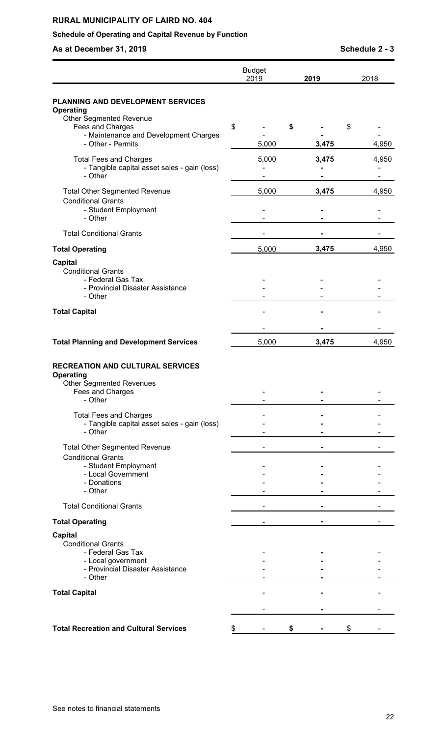# **Schedule of Operating and Capital Revenue by Function**

**As at December 31, 2019 Schedule 2 - 3**

|                                                                                                                                | <b>Budget</b><br>2019 |    | 2019  | 2018  |
|--------------------------------------------------------------------------------------------------------------------------------|-----------------------|----|-------|-------|
| <b>PLANNING AND DEVELOPMENT SERVICES</b><br><b>Operating</b><br><b>Other Segmented Revenue</b>                                 |                       |    |       |       |
| Fees and Charges                                                                                                               | \$                    | S  |       | \$    |
| - Maintenance and Development Charges<br>- Other - Permits                                                                     | 5,000                 |    | 3,475 | 4,950 |
| <b>Total Fees and Charges</b><br>- Tangible capital asset sales - gain (loss)<br>- Other                                       | 5,000                 |    | 3,475 | 4,950 |
| <b>Total Other Segmented Revenue</b><br><b>Conditional Grants</b><br>- Student Employment<br>- Other                           | 5,000                 |    | 3,475 | 4,950 |
| <b>Total Conditional Grants</b>                                                                                                |                       |    |       |       |
| <b>Total Operating</b>                                                                                                         | 5,000                 |    | 3,475 | 4,950 |
| <b>Capital</b><br>Conditional Grants<br>- Federal Gas Tax<br>- Provincial Disaster Assistance<br>- Other                       |                       |    |       |       |
| <b>Total Capital</b>                                                                                                           |                       |    |       |       |
|                                                                                                                                |                       |    |       |       |
| <b>Total Planning and Development Services</b>                                                                                 | 5,000                 |    | 3,475 | 4,950 |
| <b>RECREATION AND CULTURAL SERVICES</b><br><b>Operating</b><br><b>Other Segmented Revenues</b><br>Fees and Charges<br>- Other  |                       |    |       |       |
| <b>Total Fees and Charges</b><br>- Tangible capital asset sales - gain (loss)<br>- Other                                       |                       |    |       |       |
| <b>Total Other Segmented Revenue</b><br><b>Conditional Grants</b><br>- Student Employment<br>- Local Government<br>- Donations |                       |    |       |       |
| - Other<br><b>Total Conditional Grants</b>                                                                                     |                       |    |       |       |
|                                                                                                                                |                       |    |       |       |
| <b>Total Operating</b><br><b>Capital</b><br><b>Conditional Grants</b>                                                          |                       |    |       |       |
| - Federal Gas Tax<br>- Local government<br>- Provincial Disaster Assistance<br>- Other                                         |                       |    |       |       |
| <b>Total Capital</b>                                                                                                           |                       |    |       |       |
| <b>Total Recreation and Cultural Services</b>                                                                                  | \$                    | \$ |       | \$    |

See notes to financial statements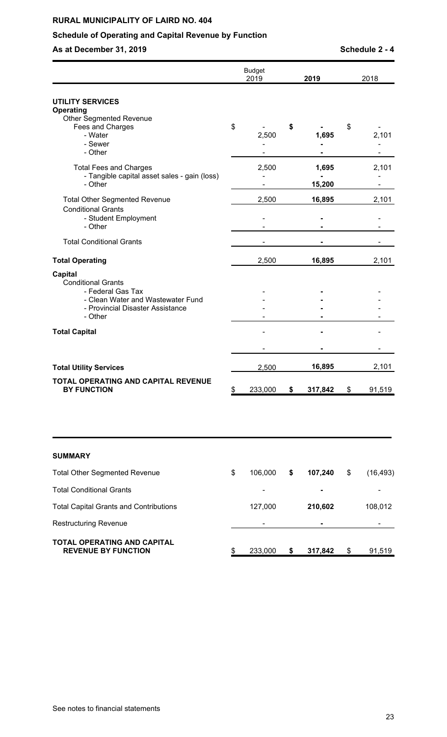# **Schedule of Operating and Capital Revenue by Function**

**As at December 31, 2019 As at December 31, 2019 Schedule 2 - 4** 

|                                                                                                                                                      | <b>Budget</b><br>2019 |               | 2019            | 2018            |
|------------------------------------------------------------------------------------------------------------------------------------------------------|-----------------------|---------------|-----------------|-----------------|
| <b>UTILITY SERVICES</b><br><b>Operating</b><br><b>Other Segmented Revenue</b><br>Fees and Charges                                                    | \$                    | \$            |                 | \$              |
| - Water<br>- Sewer<br>- Other                                                                                                                        | 2,500                 |               | 1,695           | 2,101           |
| <b>Total Fees and Charges</b><br>- Tangible capital asset sales - gain (loss)<br>- Other                                                             | 2,500                 |               | 1,695<br>15,200 | 2,101           |
| <b>Total Other Segmented Revenue</b><br><b>Conditional Grants</b><br>- Student Employment<br>- Other                                                 | 2,500                 |               | 16,895          | 2,101           |
| <b>Total Conditional Grants</b>                                                                                                                      |                       |               |                 |                 |
| <b>Total Operating</b>                                                                                                                               | 2,500                 |               | 16,895          | 2,101           |
| <b>Capital</b><br><b>Conditional Grants</b><br>- Federal Gas Tax<br>- Clean Water and Wastewater Fund<br>- Provincial Disaster Assistance<br>- Other |                       |               |                 |                 |
| <b>Total Capital</b>                                                                                                                                 |                       |               |                 |                 |
| <b>Total Utility Services</b>                                                                                                                        | 2,500                 |               | 16,895          | 2,101           |
| TOTAL OPERATING AND CAPITAL REVENUE<br><b>BY FUNCTION</b>                                                                                            | \$<br>233,000         | \$            | 317,842         | \$<br>91,519    |
| <b>SUMMARY</b>                                                                                                                                       |                       |               |                 |                 |
| <b>Total Other Segmented Revenue</b>                                                                                                                 | \$<br>106,000         | \$            | 107,240         | \$<br>(16, 493) |
| <b>Total Conditional Grants</b>                                                                                                                      | -                     |               |                 |                 |
| <b>Total Capital Grants and Contributions</b>                                                                                                        | 127,000               |               | 210,602         | 108,012         |
| <b>Restructuring Revenue</b>                                                                                                                         |                       |               |                 |                 |
| <b>TOTAL OPERATING AND CAPITAL</b><br><b>REVENUE BY FUNCTION</b>                                                                                     | \$<br>233,000         | $\mathsf{\$}$ | 317,842         | \$<br>91,519    |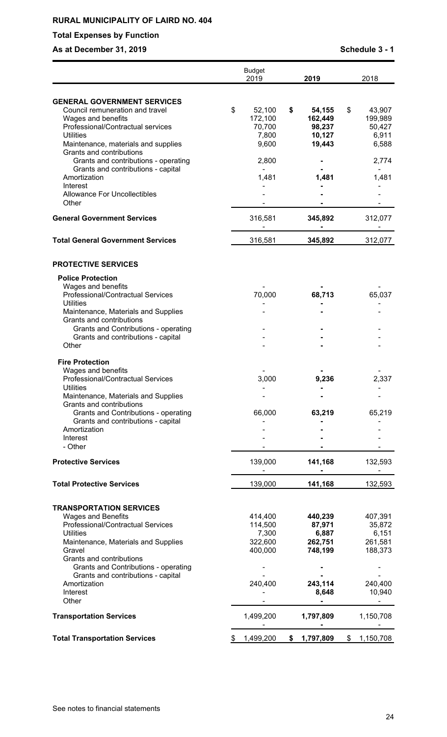# **Total Expenses by Function**

# **As at December 31, 2019 Schedule 3 - 1**

|                                                                                                                                                                                                                                                                                                                      | <b>Budget</b><br>2019                                        | 2019                                                                 | 2018                                                                  |
|----------------------------------------------------------------------------------------------------------------------------------------------------------------------------------------------------------------------------------------------------------------------------------------------------------------------|--------------------------------------------------------------|----------------------------------------------------------------------|-----------------------------------------------------------------------|
| <b>GENERAL GOVERNMENT SERVICES</b><br>Council remuneration and travel<br>Wages and benefits<br>Professional/Contractual services<br><b>Utilities</b><br>Maintenance, materials and supplies<br>Grants and contributions                                                                                              | \$<br>52,100<br>172,100<br>70,700<br>7,800<br>9,600          | \$<br>54,155<br>162,449<br>98,237<br>10,127<br>19,443                | \$<br>43,907<br>199,989<br>50,427<br>6,911<br>6,588                   |
| Grants and contributions - operating<br>Grants and contributions - capital<br>Amortization<br>Interest<br><b>Allowance For Uncollectibles</b>                                                                                                                                                                        | 2,800<br>1,481                                               | 1,481                                                                | 2,774<br>1,481                                                        |
| Other<br><b>General Government Services</b>                                                                                                                                                                                                                                                                          | 316,581                                                      | 345,892                                                              | 312,077                                                               |
| <b>Total General Government Services</b>                                                                                                                                                                                                                                                                             | 316,581                                                      | 345,892                                                              | 312,077                                                               |
| <b>PROTECTIVE SERVICES</b>                                                                                                                                                                                                                                                                                           |                                                              |                                                                      |                                                                       |
| <b>Police Protection</b><br>Wages and benefits<br>Professional/Contractual Services<br><b>Utilities</b><br>Maintenance, Materials and Supplies<br>Grants and contributions<br><b>Grants and Contributions - operating</b><br>Grants and contributions - capital<br>Other                                             | 70,000                                                       | 68,713                                                               | 65,037                                                                |
| <b>Fire Protection</b><br>Wages and benefits<br>Professional/Contractual Services<br><b>Utilities</b><br>Maintenance, Materials and Supplies<br>Grants and contributions<br>Grants and Contributions - operating<br>Grants and contributions - capital<br>Amortization<br>Interest<br>- Other                        | 3,000<br>66,000                                              | 9,236<br>63,219                                                      | 2,337<br>65,219                                                       |
| <b>Protective Services</b>                                                                                                                                                                                                                                                                                           | 139,000                                                      | 141,168                                                              | 132,593                                                               |
| <b>Total Protective Services</b>                                                                                                                                                                                                                                                                                     | 139,000                                                      | 141,168                                                              | 132,593                                                               |
| <b>TRANSPORTATION SERVICES</b><br><b>Wages and Benefits</b><br>Professional/Contractual Services<br><b>Utilities</b><br>Maintenance, Materials and Supplies<br>Gravel<br>Grants and contributions<br>Grants and Contributions - operating<br>Grants and contributions - capital<br>Amortization<br>Interest<br>Other | 414,400<br>114,500<br>7,300<br>322,600<br>400,000<br>240,400 | 440,239<br>87,971<br>6,887<br>262,751<br>748,199<br>243,114<br>8,648 | 407,391<br>35,872<br>6,151<br>261,581<br>188,373<br>240,400<br>10,940 |
| <b>Transportation Services</b>                                                                                                                                                                                                                                                                                       | 1,499,200                                                    | 1,797,809                                                            | 1,150,708                                                             |
| <b>Total Transportation Services</b>                                                                                                                                                                                                                                                                                 | \$<br>1,499,200                                              | \$<br>1,797,809                                                      | \$<br>1,150,708                                                       |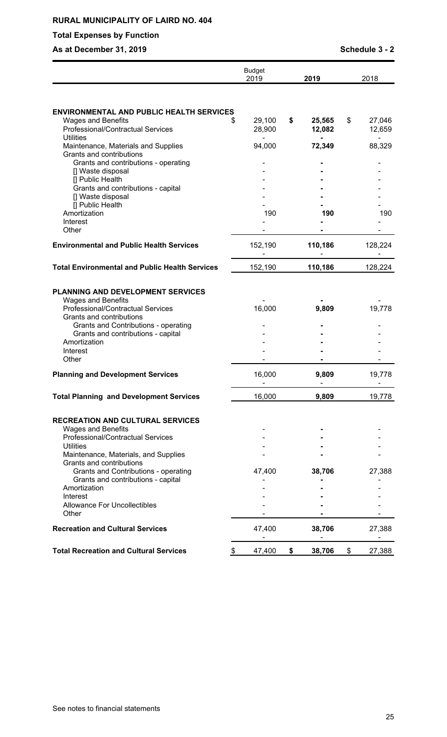# **Total Expenses by Function**

# **As at December 31, 2019 As at December 31, 2019 Schedule 3 - 2**

|                                                                                            | <b>Budget</b><br>2019 | 2019                   | 2018                   |
|--------------------------------------------------------------------------------------------|-----------------------|------------------------|------------------------|
|                                                                                            |                       |                        |                        |
| <b>ENVIRONMENTAL AND PUBLIC HEALTH SERVICES</b>                                            |                       |                        |                        |
| <b>Wages and Benefits</b><br>\$<br>Professional/Contractual Services<br><b>Utilities</b>   | 29,100<br>28,900      | \$<br>25,565<br>12,082 | \$<br>27,046<br>12,659 |
| Maintenance, Materials and Supplies<br>Grants and contributions                            | 94,000                | 72,349                 | 88,329                 |
| Grants and contributions - operating<br>[] Waste disposal                                  |                       |                        |                        |
| [] Public Health<br>Grants and contributions - capital<br>[] Waste disposal                |                       |                        |                        |
| [] Public Health<br>Amortization                                                           | 190                   | 190                    | 190                    |
| Interest<br>Other                                                                          |                       |                        |                        |
| <b>Environmental and Public Health Services</b>                                            | 152,190               | 110,186                | 128,224                |
| <b>Total Environmental and Public Health Services</b>                                      | 152,190               | 110,186                | 128,224                |
| PLANNING AND DEVELOPMENT SERVICES                                                          |                       |                        |                        |
| <b>Wages and Benefits</b><br>Professional/Contractual Services<br>Grants and contributions | 16,000                | 9,809                  | 19,778                 |
| Grants and Contributions - operating<br>Grants and contributions - capital                 |                       |                        |                        |
| Amortization<br>Interest                                                                   |                       |                        |                        |
| Other                                                                                      |                       |                        |                        |
| <b>Planning and Development Services</b>                                                   | 16,000                | 9,809                  | 19,778                 |
| <b>Total Planning and Development Services</b>                                             | 16,000                | 9,809                  | 19,778                 |
| <b>RECREATION AND CULTURAL SERVICES</b>                                                    |                       |                        |                        |
| <b>Wages and Benefits</b><br>Professional/Contractual Services                             |                       |                        |                        |
| <b>Utilities</b><br>Maintenance, Materials, and Supplies                                   |                       |                        |                        |
| Grants and contributions<br>Grants and Contributions - operating                           | 47,400                | 38,706                 | 27,388                 |
| Grants and contributions - capital<br>Amortization                                         |                       |                        |                        |
| Interest                                                                                   |                       |                        |                        |
| <b>Allowance For Uncollectibles</b><br>Other                                               |                       |                        |                        |
| <b>Recreation and Cultural Services</b>                                                    | 47,400                | 38,706                 | 27,388                 |
| <b>Total Recreation and Cultural Services</b><br>\$                                        | 47,400                | \$<br>38,706           | \$<br>27,388           |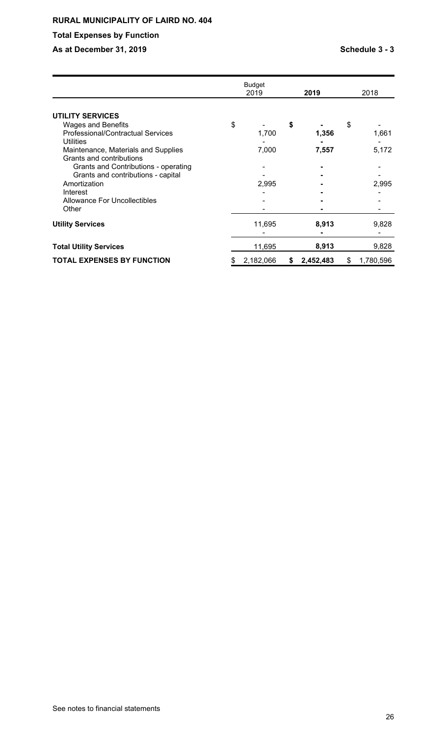# **Total Expenses by Function**

# As at December 31, 2019 **As at December 31, 2019 Schedule 3 - 3**

|                                          | Budget<br>2019  |    | 2019      | 2018            |
|------------------------------------------|-----------------|----|-----------|-----------------|
|                                          |                 |    |           |                 |
| <b>UTILITY SERVICES</b>                  |                 |    |           |                 |
| <b>Wages and Benefits</b>                | \$              | \$ |           | \$              |
| <b>Professional/Contractual Services</b> | 1,700           |    | 1,356     | 1,661           |
| <b>Utilities</b>                         |                 |    |           |                 |
| Maintenance, Materials and Supplies      | 7,000           |    | 7,557     | 5,172           |
| Grants and contributions                 |                 |    |           |                 |
| Grants and Contributions - operating     |                 |    |           |                 |
| Grants and contributions - capital       |                 |    |           |                 |
| Amortization                             | 2,995           |    |           | 2,995           |
| Interest                                 |                 |    |           |                 |
| <b>Allowance For Uncollectibles</b>      |                 |    |           |                 |
| Other                                    |                 |    |           |                 |
| <b>Utility Services</b>                  | 11,695          |    | 8,913     | 9,828           |
|                                          |                 |    |           |                 |
| <b>Total Utility Services</b>            | 11,695          |    | 8,913     | 9,828           |
| <b>TOTAL EXPENSES BY FUNCTION</b>        | \$<br>2,182,066 | S  | 2,452,483 | \$<br>1,780,596 |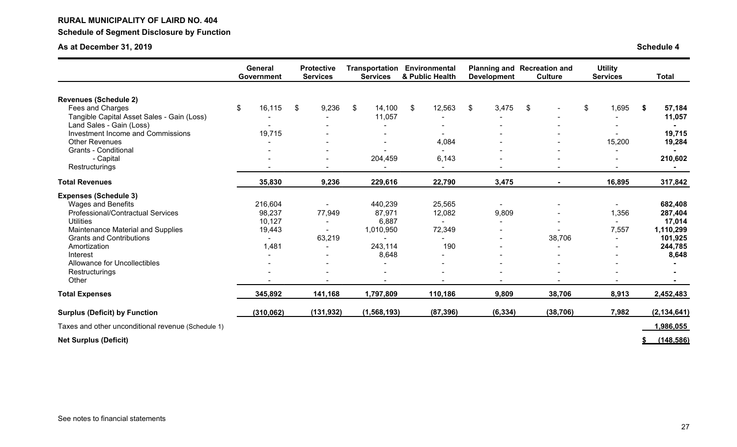# **RURAL MUNICIPALITY OF LAIRD NO. 404 Schedule of Segment Disclosure by Function**

# **As at December 31, 2019**

| <b>Schedule 4</b> |
|-------------------|
|-------------------|

|                                                    | General<br>Government | <b>Protective</b><br><b>Services</b> | Transportation<br><b>Services</b> | Environmental<br>& Public Health | <b>Development</b>       | <b>Planning and Recreation and</b><br><b>Culture</b> | <b>Utility</b><br><b>Services</b> | <b>Total</b>  |
|----------------------------------------------------|-----------------------|--------------------------------------|-----------------------------------|----------------------------------|--------------------------|------------------------------------------------------|-----------------------------------|---------------|
|                                                    |                       |                                      |                                   |                                  |                          |                                                      |                                   |               |
| <b>Revenues (Schedule 2)</b>                       |                       |                                      |                                   |                                  |                          |                                                      |                                   |               |
| Fees and Charges                                   | \$<br>16,115          | \$<br>9,236                          | \$<br>14,100                      | \$<br>12,563                     | \$<br>3,475              | \$                                                   | \$<br>1,695                       | \$<br>57,184  |
| Tangible Capital Asset Sales - Gain (Loss)         |                       |                                      | 11,057                            |                                  |                          |                                                      |                                   | 11,057        |
| Land Sales - Gain (Loss)                           |                       |                                      |                                   |                                  |                          |                                                      |                                   |               |
| <b>Investment Income and Commissions</b>           | 19,715                |                                      |                                   |                                  |                          |                                                      |                                   | 19,715        |
| <b>Other Revenues</b>                              |                       |                                      |                                   | 4,084                            |                          |                                                      | 15,200                            | 19,284        |
| <b>Grants - Conditional</b>                        |                       |                                      |                                   |                                  |                          |                                                      |                                   |               |
| - Capital                                          |                       |                                      | 204,459                           | 6,143                            |                          |                                                      |                                   | 210,602       |
| Restructurings                                     |                       |                                      |                                   | $\blacksquare$                   | $\overline{\phantom{a}}$ | $\blacksquare$                                       |                                   |               |
| <b>Total Revenues</b>                              | 35,830                | 9,236                                | 229,616                           | 22,790                           | 3,475                    | $\blacksquare$                                       | 16,895                            | 317,842       |
| <b>Expenses (Schedule 3)</b>                       |                       |                                      |                                   |                                  |                          |                                                      |                                   |               |
| <b>Wages and Benefits</b>                          | 216,604               |                                      | 440,239                           | 25,565                           | $\blacksquare$           |                                                      |                                   | 682,408       |
| Professional/Contractual Services                  | 98,237                | 77,949                               | 87,971                            | 12,082                           | 9,809                    |                                                      | 1,356                             | 287,404       |
| <b>Utilities</b>                                   | 10,127                |                                      | 6,887                             |                                  |                          |                                                      |                                   | 17,014        |
| Maintenance Material and Supplies                  | 19,443                |                                      | 1,010,950                         | 72,349                           |                          |                                                      | 7,557                             | 1,110,299     |
| <b>Grants and Contributions</b>                    |                       | 63,219                               |                                   |                                  |                          | 38,706                                               |                                   | 101,925       |
| Amortization                                       | 1,481                 |                                      | 243,114                           | 190                              |                          |                                                      |                                   | 244,785       |
| Interest                                           |                       |                                      | 8,648                             |                                  |                          |                                                      |                                   | 8,648         |
| Allowance for Uncollectibles                       |                       |                                      |                                   |                                  |                          |                                                      |                                   |               |
| Restructurings                                     |                       |                                      |                                   |                                  |                          |                                                      |                                   |               |
| Other                                              |                       |                                      |                                   |                                  |                          |                                                      |                                   |               |
| <b>Total Expenses</b>                              | 345,892               | 141,168                              | 1,797,809                         | 110,186                          | 9,809                    | 38,706                                               | 8,913                             | 2,452,483     |
| <b>Surplus (Deficit) by Function</b>               | (310, 062)            | (131, 932)                           | (1, 568, 193)                     | (87, 396)                        | (6, 334)                 | (38, 706)                                            | 7,982                             | (2, 134, 641) |
| Taxes and other unconditional revenue (Schedule 1) |                       |                                      |                                   |                                  |                          |                                                      |                                   | 1,986,055     |
|                                                    |                       |                                      |                                   |                                  |                          |                                                      |                                   | (148.586)     |
| <b>Net Surplus (Deficit)</b>                       |                       |                                      |                                   |                                  |                          |                                                      |                                   |               |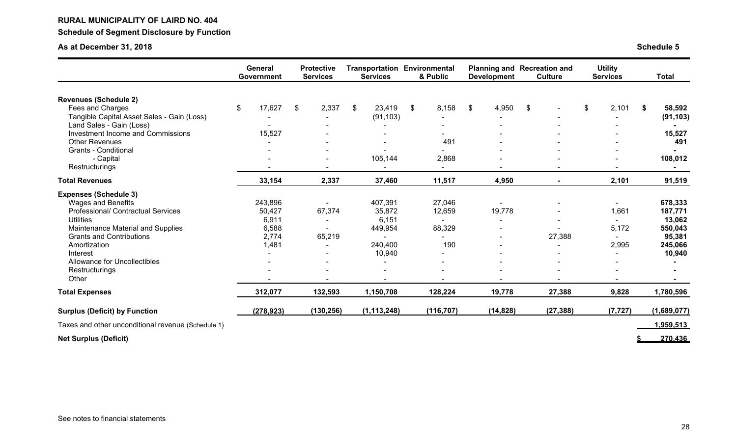# **RURAL MUNICIPALITY OF LAIRD NO. 404 Schedule of Segment Disclosure by Function**

# **As at December 31, 2018**

| <b>Schedule 5</b> |  |  |
|-------------------|--|--|
|                   |  |  |

|                                                    | <b>General</b><br>Government | <b>Protective</b><br><b>Services</b> | <b>Services</b>          | <b>Transportation Environmental</b><br>& Public | <b>Development</b> | <b>Planning and Recreation and</b><br><b>Culture</b> | <b>Utility</b><br><b>Services</b> | <b>Total</b> |
|----------------------------------------------------|------------------------------|--------------------------------------|--------------------------|-------------------------------------------------|--------------------|------------------------------------------------------|-----------------------------------|--------------|
| <b>Revenues (Schedule 2)</b>                       |                              |                                      |                          |                                                 |                    |                                                      |                                   |              |
| Fees and Charges                                   | \$<br>17,627                 | \$<br>2,337                          | $\mathfrak{F}$<br>23,419 | 8,158<br>\$                                     | 4,950<br>\$        | \$                                                   | \$<br>2,101                       | \$<br>58,592 |
| Tangible Capital Asset Sales - Gain (Loss)         |                              |                                      | (91, 103)                |                                                 |                    |                                                      |                                   | (91, 103)    |
| Land Sales - Gain (Loss)                           |                              |                                      |                          |                                                 |                    |                                                      |                                   |              |
| Investment Income and Commissions                  | 15,527                       |                                      |                          |                                                 |                    |                                                      |                                   | 15,527       |
| <b>Other Revenues</b>                              |                              |                                      |                          | 491                                             |                    |                                                      |                                   | 491          |
| <b>Grants - Conditional</b>                        |                              |                                      | 105,144                  |                                                 |                    |                                                      |                                   |              |
| - Capital                                          |                              |                                      |                          | 2,868                                           |                    |                                                      |                                   | 108,012      |
| Restructurings                                     |                              |                                      |                          | $\sim$                                          |                    |                                                      |                                   |              |
| <b>Total Revenues</b>                              | 33,154                       | 2,337                                | 37,460                   | 11,517                                          | 4,950              | $\blacksquare$                                       | 2,101                             | 91,519       |
| <b>Expenses (Schedule 3)</b>                       |                              |                                      |                          |                                                 |                    |                                                      |                                   |              |
| <b>Wages and Benefits</b>                          | 243,896                      |                                      | 407,391                  | 27,046                                          |                    |                                                      |                                   | 678,333      |
| Professional/ Contractual Services                 | 50,427                       | 67,374                               | 35,872                   | 12,659                                          | 19,778             |                                                      | 1,661                             | 187,771      |
| <b>Utilities</b>                                   | 6,911                        | $\blacksquare$                       | 6,151                    | $\sim$                                          |                    |                                                      |                                   | 13,062       |
| Maintenance Material and Supplies                  | 6,588                        |                                      | 449,954                  | 88,329                                          |                    |                                                      | 5,172                             | 550,043      |
| <b>Grants and Contributions</b>                    | 2,774                        | 65,219                               |                          |                                                 |                    | 27,388                                               |                                   | 95,381       |
| Amortization                                       | 1,481                        |                                      | 240,400                  | 190                                             |                    |                                                      | 2,995                             | 245,066      |
| Interest                                           |                              |                                      | 10,940                   | $\blacksquare$                                  |                    |                                                      |                                   | 10,940       |
| Allowance for Uncollectibles                       |                              |                                      |                          | $\blacksquare$                                  |                    |                                                      |                                   |              |
| Restructurings                                     |                              |                                      |                          |                                                 |                    |                                                      |                                   |              |
| Other                                              |                              |                                      |                          |                                                 |                    |                                                      |                                   |              |
| <b>Total Expenses</b>                              | 312,077                      | 132,593                              | 1,150,708                | 128,224                                         | 19,778             | 27,388                                               | 9,828                             | 1,780,596    |
| <b>Surplus (Deficit) by Function</b>               | (278, 923)                   | (130, 256)                           | (1, 113, 248)            | (116, 707)                                      | (14, 828)          | (27, 388)                                            | (7, 727)                          | (1,689,077)  |
| Taxes and other unconditional revenue (Schedule 1) |                              |                                      |                          |                                                 |                    |                                                      |                                   | 1,959,513    |
| <b>Net Surplus (Deficit)</b>                       |                              |                                      |                          |                                                 |                    |                                                      |                                   | 270.436      |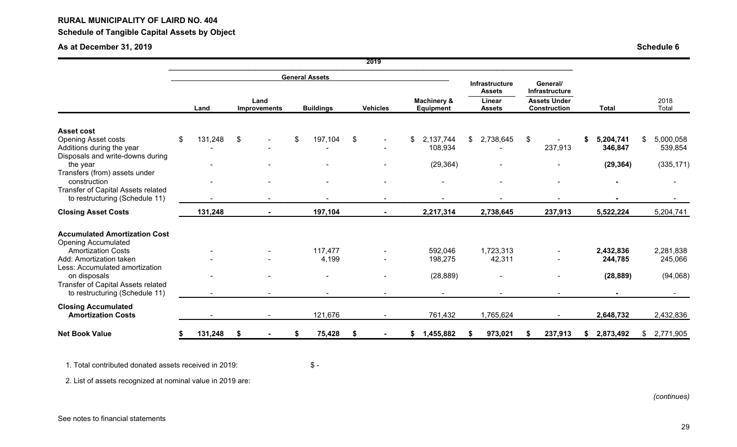# **Schedule of Tangible Capital Assets by Object**

# **As at December 31, 2019**

| <b>Schedule 6</b> |  |  |
|-------------------|--|--|
|                   |  |  |

|                                                                                                                  |               |    |                             |                       |    | 2019            |                                     |                                                                   |     |                                                                                 |   |                      |                            |
|------------------------------------------------------------------------------------------------------------------|---------------|----|-----------------------------|-----------------------|----|-----------------|-------------------------------------|-------------------------------------------------------------------|-----|---------------------------------------------------------------------------------|---|----------------------|----------------------------|
|                                                                                                                  |               |    |                             | <b>General Assets</b> |    |                 |                                     |                                                                   |     |                                                                                 |   |                      |                            |
|                                                                                                                  | Land          |    | Land<br><b>Improvements</b> | <b>Buildings</b>      |    | <b>Vehicles</b> | <b>Machinery &amp;</b><br>Equipment | <b>Infrastructure</b><br><b>Assets</b><br>Linear<br><b>Assets</b> |     | General/<br><b>Infrastructure</b><br><b>Assets Under</b><br><b>Construction</b> |   | <b>Total</b>         | 2018<br>Total              |
|                                                                                                                  |               |    |                             |                       |    |                 |                                     |                                                                   |     |                                                                                 |   |                      |                            |
| <b>Asset cost</b><br><b>Opening Asset costs</b><br>Additions during the year<br>Disposals and write-downs during | \$<br>131,248 | \$ |                             | \$<br>197,104         | \$ |                 | \$<br>2,137,744<br>108,934          | \$<br>2,738,645                                                   | \$. | 237,913                                                                         |   | 5,204,741<br>346,847 | \$<br>5,000,058<br>539,854 |
| the year<br>Transfers (from) assets under                                                                        |               |    |                             |                       |    |                 | (29, 364)                           |                                                                   |     |                                                                                 |   | (29, 364)            | (335, 171)                 |
| construction<br>Transfer of Capital Assets related<br>to restructuring (Schedule 11)                             |               |    |                             |                       |    |                 |                                     |                                                                   |     |                                                                                 |   |                      |                            |
| <b>Closing Asset Costs</b>                                                                                       | 131,248       |    |                             | 197,104               |    |                 | 2,217,314                           | 2,738,645                                                         |     | 237,913                                                                         |   | 5,522,224            | 5,204,741                  |
| <b>Accumulated Amortization Cost</b><br><b>Opening Accumulated</b><br><b>Amortization Costs</b>                  |               |    |                             | 117,477               |    |                 | 592,046                             | 1,723,313                                                         |     |                                                                                 |   | 2,432,836            | 2,281,838                  |
| Add: Amortization taken<br>Less: Accumulated amortization                                                        |               |    |                             | 4,199                 |    |                 | 198,275                             | 42,311                                                            |     |                                                                                 |   | 244,785              | 245,066                    |
| on disposals<br>Transfer of Capital Assets related<br>to restructuring (Schedule 11)                             |               |    |                             |                       |    |                 | (28, 889)<br>$\sim$                 |                                                                   |     | $\blacksquare$                                                                  |   | (28, 889)            | (94,068)                   |
| <b>Closing Accumulated</b><br><b>Amortization Costs</b>                                                          |               |    |                             | 121,676               |    |                 | 761,432                             | 1,765,624                                                         |     |                                                                                 |   | 2,648,732            | 2,432,836                  |
| <b>Net Book Value</b>                                                                                            | 131,248       | Ŝ. |                             | 75,428                | S. |                 | 1,455,882                           | 973,021                                                           |     | 237,913                                                                         | S | 2,873,492            | \$2,771,905                |

1. Total contributed donated assets received in 2019: \$ -

2. List of assets recognized at nominal value in 2019 are: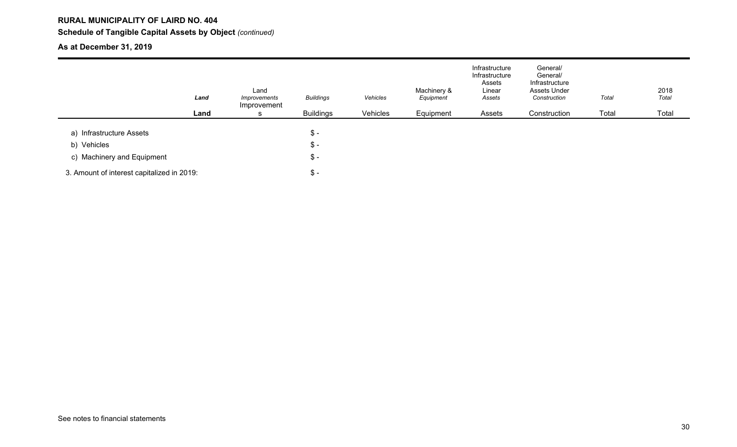# **RURAL MUNICIPALITY OF LAIRD NO. 404 Schedule of Tangible Capital Assets by Object** *(continued)*

# **As at December 31, 2019**

|                                            | Land | Land<br>Improvements<br>Improvement | <b>Buildings</b> | Vehicles | Machinery &<br>Equipment | Infrastructure<br>Infrastructure<br>Assets<br>Linear<br>Assets | General/<br>General/<br>Infrastructure<br>Assets Under<br>Construction | Total | 2018<br>Total |
|--------------------------------------------|------|-------------------------------------|------------------|----------|--------------------------|----------------------------------------------------------------|------------------------------------------------------------------------|-------|---------------|
|                                            | Land |                                     | <b>Buildings</b> | Vehicles | Equipment                | Assets                                                         | Construction                                                           | Total | Total         |
| a) Infrastructure Assets                   |      |                                     | $\frac{3}{2}$    |          |                          |                                                                |                                                                        |       |               |
| b) Vehicles                                |      |                                     | $\mathsf{\$}$ -  |          |                          |                                                                |                                                                        |       |               |
| c) Machinery and Equipment                 |      |                                     | $\frac{3}{2}$ -  |          |                          |                                                                |                                                                        |       |               |
| 3. Amount of interest capitalized in 2019: |      |                                     | $\frac{3}{2}$ -  |          |                          |                                                                |                                                                        |       |               |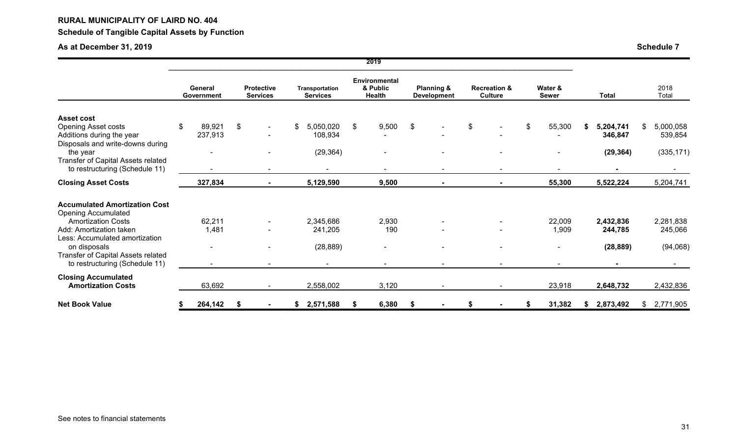# **RURAL MUNICIPALITY OF LAIRD NO. 404 Schedule of Tangible Capital Assets by Function**

# **As at December 31, 2019 Schedule 7**

|                                                                                                                  |    |                       |    |                                      |    |                                   |    | <b>ZUT</b>                                        |    |                                             |    |                                           |    |                         |    |                      |                            |
|------------------------------------------------------------------------------------------------------------------|----|-----------------------|----|--------------------------------------|----|-----------------------------------|----|---------------------------------------------------|----|---------------------------------------------|----|-------------------------------------------|----|-------------------------|----|----------------------|----------------------------|
|                                                                                                                  |    | General<br>Government |    | <b>Protective</b><br><b>Services</b> |    | Transportation<br><b>Services</b> |    | <b>Environmental</b><br>& Public<br><b>Health</b> |    | <b>Planning &amp;</b><br><b>Development</b> |    | <b>Recreation &amp;</b><br><b>Culture</b> |    | Water &<br><b>Sewer</b> |    | <b>Total</b>         | 2018<br>Total              |
|                                                                                                                  |    |                       |    |                                      |    |                                   |    |                                                   |    |                                             |    |                                           |    |                         |    |                      |                            |
| <b>Asset cost</b><br><b>Opening Asset costs</b><br>Additions during the year<br>Disposals and write-downs during | \$ | 89,921<br>237,913     | \$ |                                      | \$ | 5,050,020<br>108,934              | \$ | 9,500                                             | \$ |                                             | \$ |                                           | \$ | 55,300                  | S. | 5,204,741<br>346,847 | \$<br>5,000,058<br>539,854 |
| the year<br>Transfer of Capital Assets related<br>to restructuring (Schedule 11)                                 |    |                       |    |                                      |    | (29, 364)                         |    |                                                   |    |                                             |    | $\blacksquare$                            |    |                         |    | (29, 364)            | (335, 171)                 |
| <b>Closing Asset Costs</b>                                                                                       |    | 327,834               |    | $\blacksquare$                       |    | 5,129,590                         |    | 9,500                                             |    |                                             |    | $\blacksquare$                            |    | 55,300                  |    | 5,522,224            | 5,204,741                  |
| <b>Accumulated Amortization Cost</b><br><b>Opening Accumulated</b>                                               |    |                       |    |                                      |    |                                   |    |                                                   |    |                                             |    |                                           |    |                         |    |                      |                            |
| <b>Amortization Costs</b><br>Add: Amortization taken<br>Less: Accumulated amortization                           |    | 62,211<br>1,481       |    |                                      |    | 2,345,686<br>241,205              |    | 2,930<br>190                                      |    |                                             |    |                                           |    | 22,009<br>1,909         |    | 2,432,836<br>244,785 | 2,281,838<br>245,066       |
| on disposals<br>Transfer of Capital Assets related                                                               |    |                       |    |                                      |    | (28, 889)                         |    |                                                   |    |                                             |    |                                           |    |                         |    | (28, 889)            | (94,068)                   |
| to restructuring (Schedule 11)                                                                                   |    |                       |    |                                      |    | $\sim$                            |    |                                                   |    |                                             |    | $\blacksquare$                            |    |                         |    |                      |                            |
| <b>Closing Accumulated</b><br><b>Amortization Costs</b>                                                          |    | 63,692                |    |                                      |    | 2,558,002                         |    | 3,120                                             |    |                                             |    |                                           |    | 23,918                  |    | 2,648,732            | 2,432,836                  |
| <b>Net Book Value</b>                                                                                            | S  | 264,142               | S  |                                      | ъ  | 2,571,588                         | S  | 6,380                                             | S  |                                             | S  |                                           | -S | 31,382                  | S. | 2,873,492            | \$<br>2,771,905            |

**2019**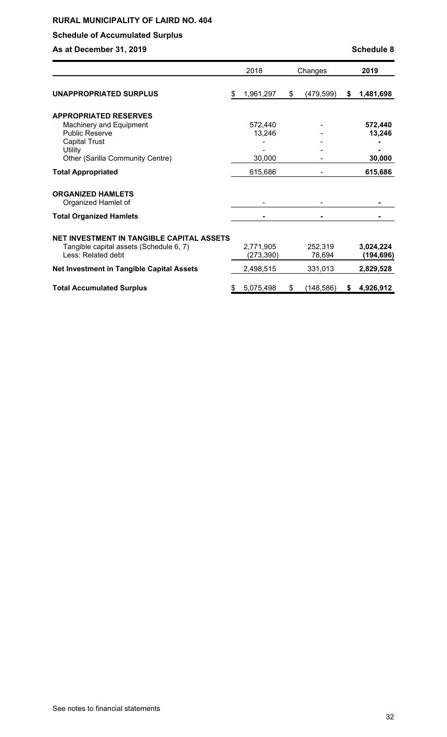# **Schedule of Accumulated Surplus**

**As at December 31, 2019 As at December 31, 2019** 

|                                                                                                                   | 2018                    | Changes           | 2019                    |
|-------------------------------------------------------------------------------------------------------------------|-------------------------|-------------------|-------------------------|
| <b>UNAPPROPRIATED SURPLUS</b>                                                                                     | \$<br>1,961,297         | \$<br>(479,599)   | \$<br>1,481,698         |
|                                                                                                                   |                         |                   |                         |
| <b>APPROPRIATED RESERVES</b><br>Machinery and Equipment                                                           | 572,440                 |                   | 572,440                 |
| <b>Public Reserve</b>                                                                                             | 13,246                  |                   | 13,246                  |
| <b>Capital Trust</b>                                                                                              |                         |                   |                         |
| Utility                                                                                                           |                         |                   |                         |
| Other (Sarilla Community Centre)                                                                                  | 30,000                  |                   | 30,000                  |
| <b>Total Appropriated</b>                                                                                         | 615,686                 |                   | 615,686                 |
| <b>ORGANIZED HAMLETS</b><br>Organized Hamlet of                                                                   |                         |                   |                         |
| <b>Total Organized Hamlets</b>                                                                                    |                         |                   |                         |
| <b>NET INVESTMENT IN TANGIBLE CAPITAL ASSETS</b><br>Tangible capital assets (Schedule 6, 7)<br>Less: Related debt | 2,771,905<br>(273, 390) | 252,319<br>78,694 | 3,024,224<br>(194, 696) |
| <b>Net Investment in Tangible Capital Assets</b>                                                                  | 2,498,515               | 331,013           | 2,829,528               |
| <b>Total Accumulated Surplus</b>                                                                                  | \$<br>5,075,498         | \$<br>(148, 586)  | \$<br>4,926,912         |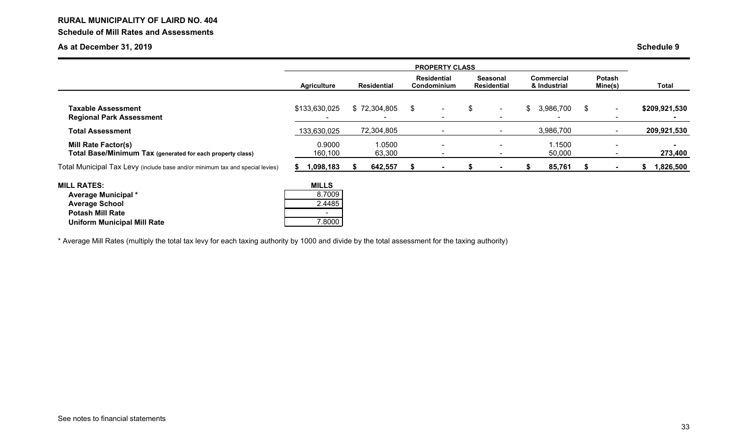# **RURAL MUNICIPALITY OF LAIRD NO. 404 Schedule of Mill Rates and Assessments**

# **As at December 31, 2019 Schedule 9**

|                                                                                                                                     | <b>PROPERTY CLASS</b>                      |  |                    |                                          |                          |    |                                       |    |                                   |    |                   |                |
|-------------------------------------------------------------------------------------------------------------------------------------|--------------------------------------------|--|--------------------|------------------------------------------|--------------------------|----|---------------------------------------|----|-----------------------------------|----|-------------------|----------------|
|                                                                                                                                     | <b>Agriculture</b>                         |  | <b>Residential</b> | <b>Residential</b><br><b>Condominium</b> |                          |    | <b>Seasonal</b><br><b>Residential</b> |    | <b>Commercial</b><br>& Industrial |    | Potash<br>Mine(s) | <b>Total</b>   |
| <b>Taxable Assessment</b><br><b>Regional Park Assessment</b>                                                                        | \$133,630,025                              |  | \$72,304,805       | \$                                       | $\sim$                   | \$ | $\sim$                                | \$ | 3,986,700                         | \$ | $\blacksquare$    | \$209,921,530  |
| <b>Total Assessment</b>                                                                                                             | 133,630,025                                |  | 72,304,805         |                                          |                          |    | $\sim$                                |    | 3,986,700                         |    |                   | 209,921,530    |
| <b>Mill Rate Factor(s)</b><br>Total Base/Minimum Tax (generated for each property class)                                            | 0.9000<br>160,100                          |  | 1.0500<br>63,300   |                                          | $\overline{\phantom{0}}$ |    | $\blacksquare$                        |    | 1.1500<br>50,000                  |    |                   | 273,400        |
| Total Municipal Tax Levy (include base and/or minimum tax and special levies)                                                       | 1,098,183<br>ж                             |  | 642,557            |                                          |                          |    |                                       |    | 85,761                            | æ  | $\blacksquare$    | 1,826,500<br>S |
| <b>MILL RATES:</b><br>Average Municipal *<br><b>Average School</b><br><b>Potash Mill Rate</b><br><b>Uniform Municipal Mill Rate</b> | <b>MILLS</b><br>8.7009<br>2.4485<br>7.8000 |  |                    |                                          |                          |    |                                       |    |                                   |    |                   |                |

\* Average Mill Rates (multiply the total tax levy for each taxing authority by 1000 and divide by the total assessment for the taxing authority)